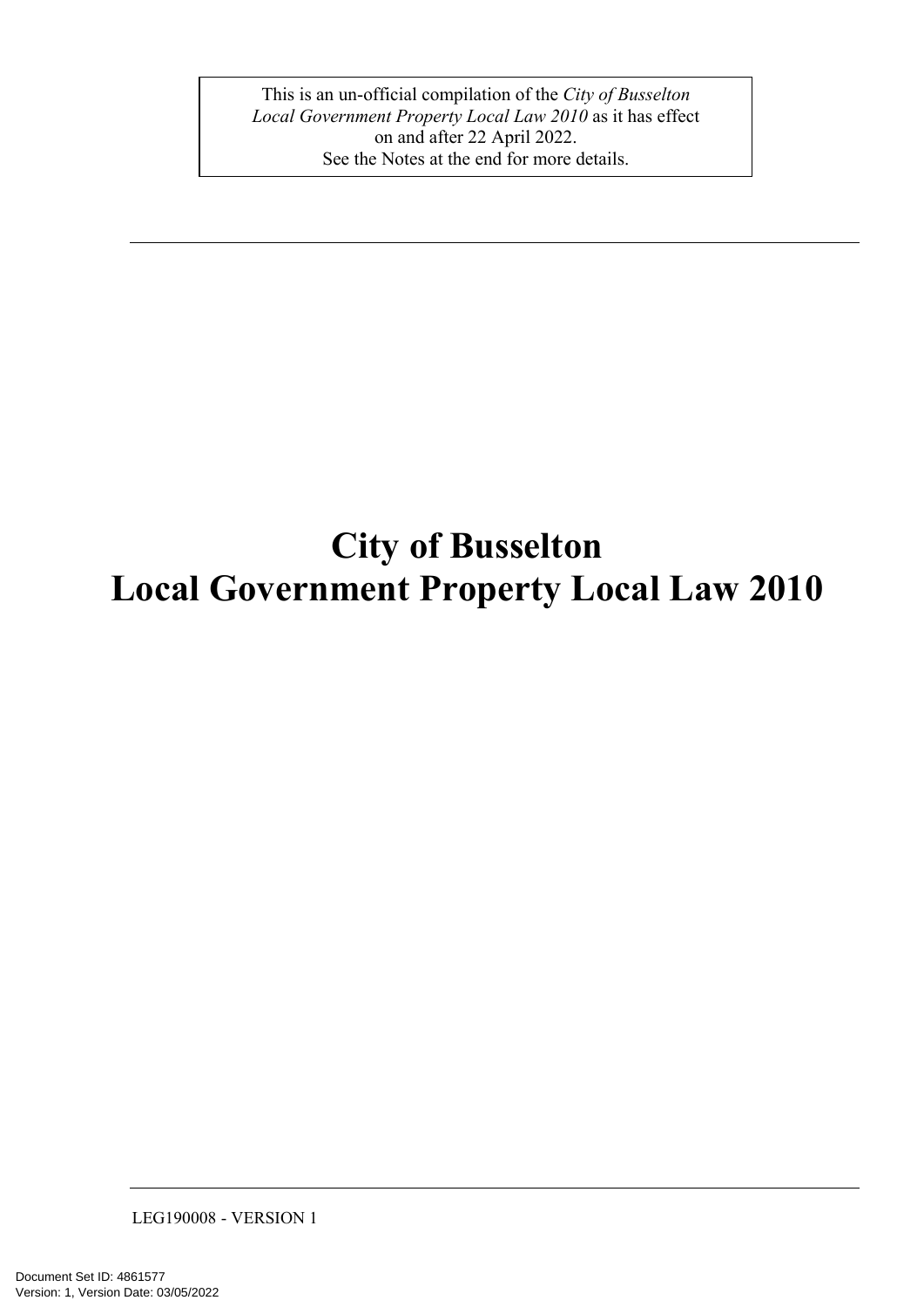This is an un-official compilation of the *City of Busselton Local Government Property Local Law 2010* as it has effect on and after 22 April 2022. See the Notes at the end for more details.

# **City of Busselton Local Government Property Local Law 2010**

LEG190008 - VERSION 1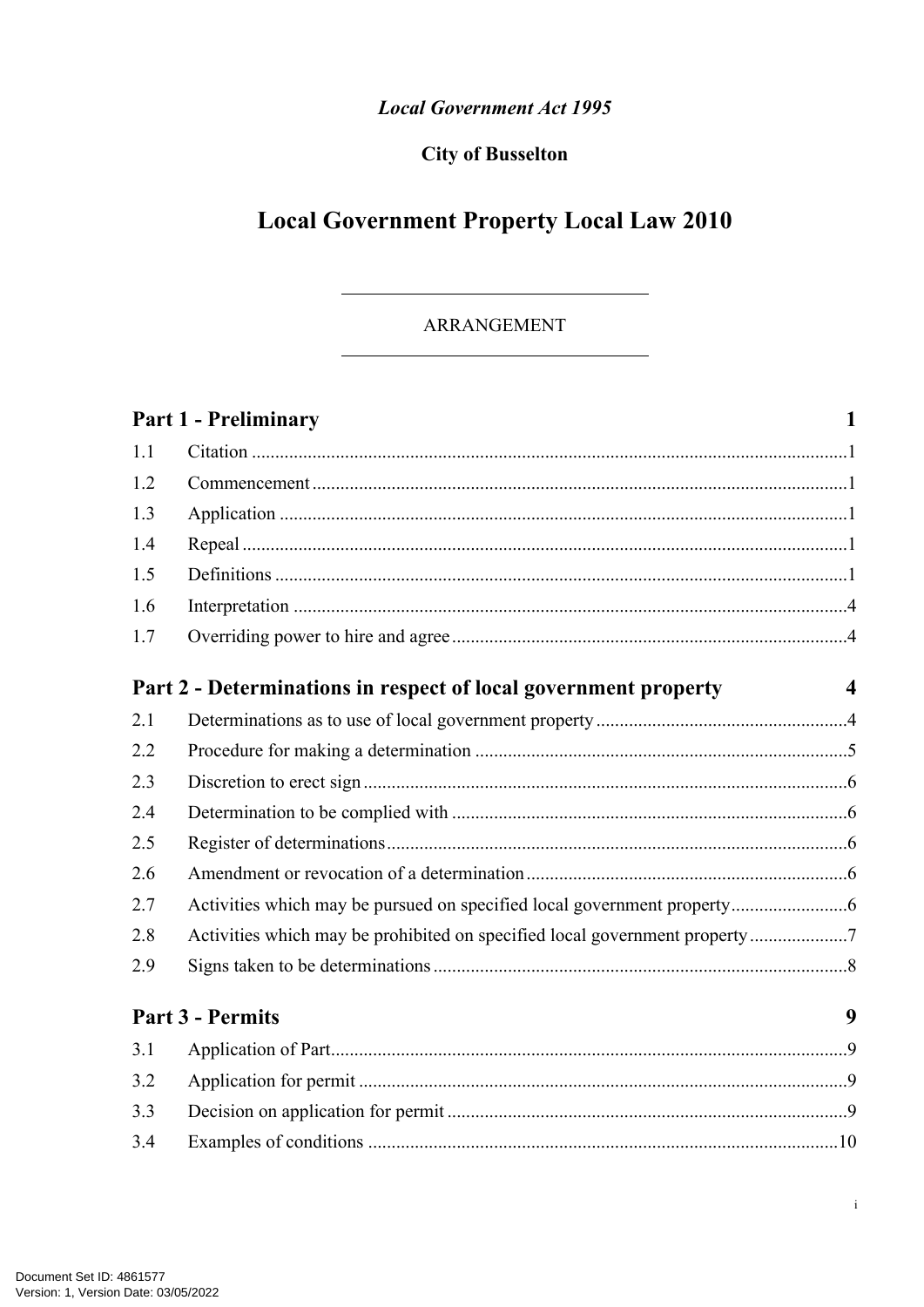### **Local Government Act 1995**

### **City of Busselton**

# **Local Government Property Local Law 2010**

### ARRANGEMENT

|     | <b>Part 1 - Preliminary</b>                                                | $\mathbf{1}$     |
|-----|----------------------------------------------------------------------------|------------------|
| 1.1 |                                                                            |                  |
| 1.2 |                                                                            |                  |
| 1.3 |                                                                            |                  |
| 1.4 |                                                                            |                  |
| 1.5 |                                                                            |                  |
| 1.6 |                                                                            |                  |
| 1.7 |                                                                            |                  |
|     | Part 2 - Determinations in respect of local government property            | $\boldsymbol{4}$ |
| 2.1 |                                                                            |                  |
| 2.2 |                                                                            |                  |
| 2.3 |                                                                            |                  |
| 2.4 |                                                                            |                  |
| 2.5 |                                                                            |                  |
| 2.6 |                                                                            |                  |
| 2.7 |                                                                            |                  |
| 2.8 | Activities which may be prohibited on specified local government property7 |                  |
| 2.9 |                                                                            |                  |
|     | <b>Part 3 - Permits</b>                                                    | 9                |
| 3.1 |                                                                            |                  |
| 3.2 |                                                                            |                  |
| 3.3 |                                                                            |                  |
| 3.4 |                                                                            |                  |

 $\rm i$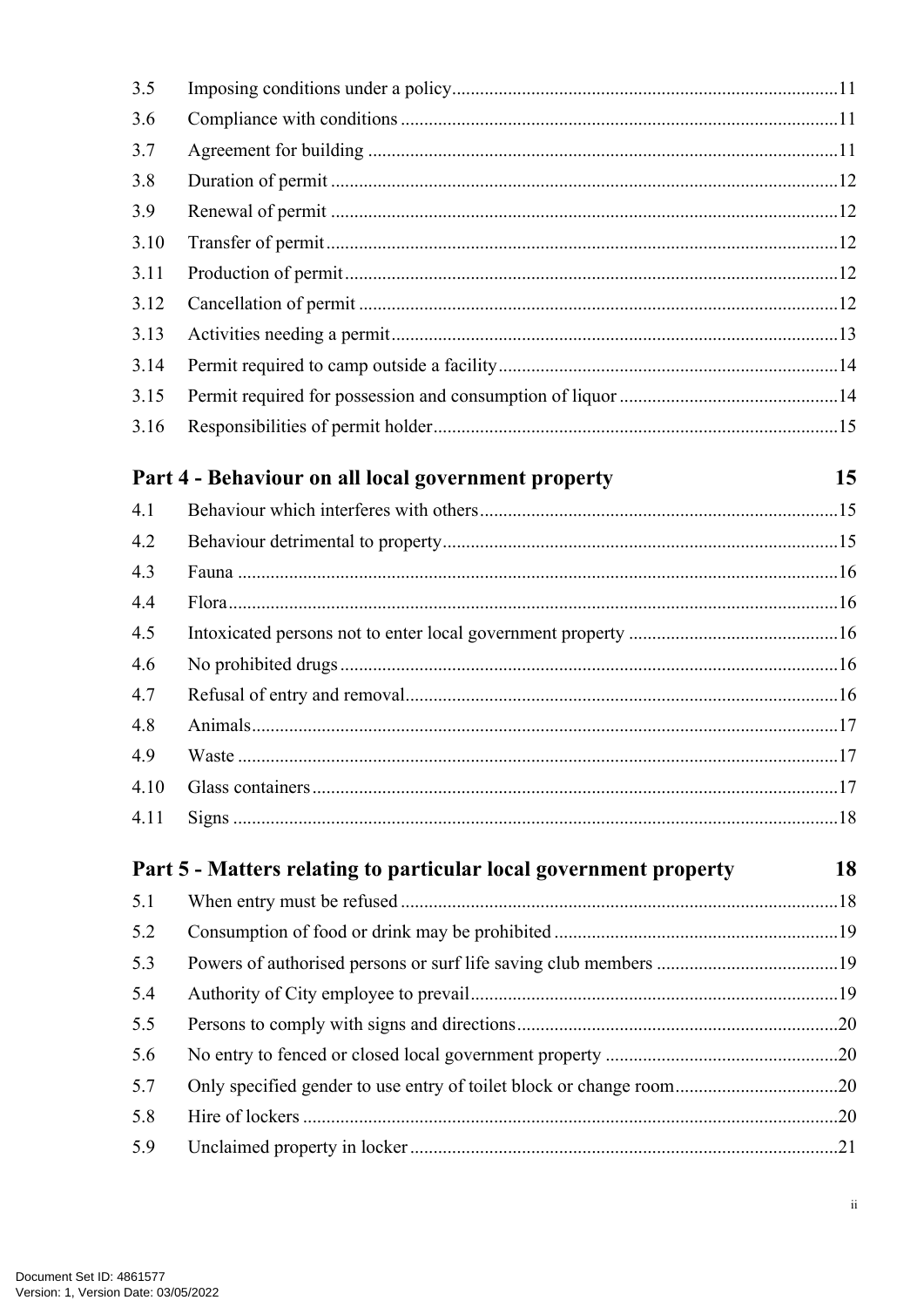| 3.5  |                                                                     |    |
|------|---------------------------------------------------------------------|----|
| 3.6  |                                                                     |    |
| 3.7  |                                                                     |    |
| 3.8  |                                                                     |    |
| 3.9  |                                                                     |    |
| 3.10 |                                                                     |    |
| 3.11 |                                                                     |    |
| 3.12 |                                                                     |    |
| 3.13 |                                                                     |    |
| 3.14 |                                                                     |    |
| 3.15 |                                                                     |    |
| 3.16 |                                                                     |    |
|      | Part 4 - Behaviour on all local government property                 | 15 |
| 4.1  |                                                                     |    |
| 4.2  |                                                                     |    |
| 4.3  |                                                                     |    |
| 4.4  |                                                                     |    |
| 4.5  |                                                                     |    |
| 4.6  |                                                                     |    |
| 4.7  |                                                                     |    |
| 4.8  |                                                                     |    |
| 4.9  |                                                                     |    |
| 4.10 |                                                                     |    |
| 4.11 |                                                                     |    |
|      | Part 5 - Matters relating to particular local government property   | 18 |
| 5.1  |                                                                     |    |
| 5.2  |                                                                     |    |
| 5.3  |                                                                     |    |
| 5.4  |                                                                     |    |
| 5.5  |                                                                     |    |
| 5.6  |                                                                     |    |
| 5.7  | Only specified gender to use entry of toilet block or change room20 |    |
| 5.8  |                                                                     |    |
| 5.9  |                                                                     |    |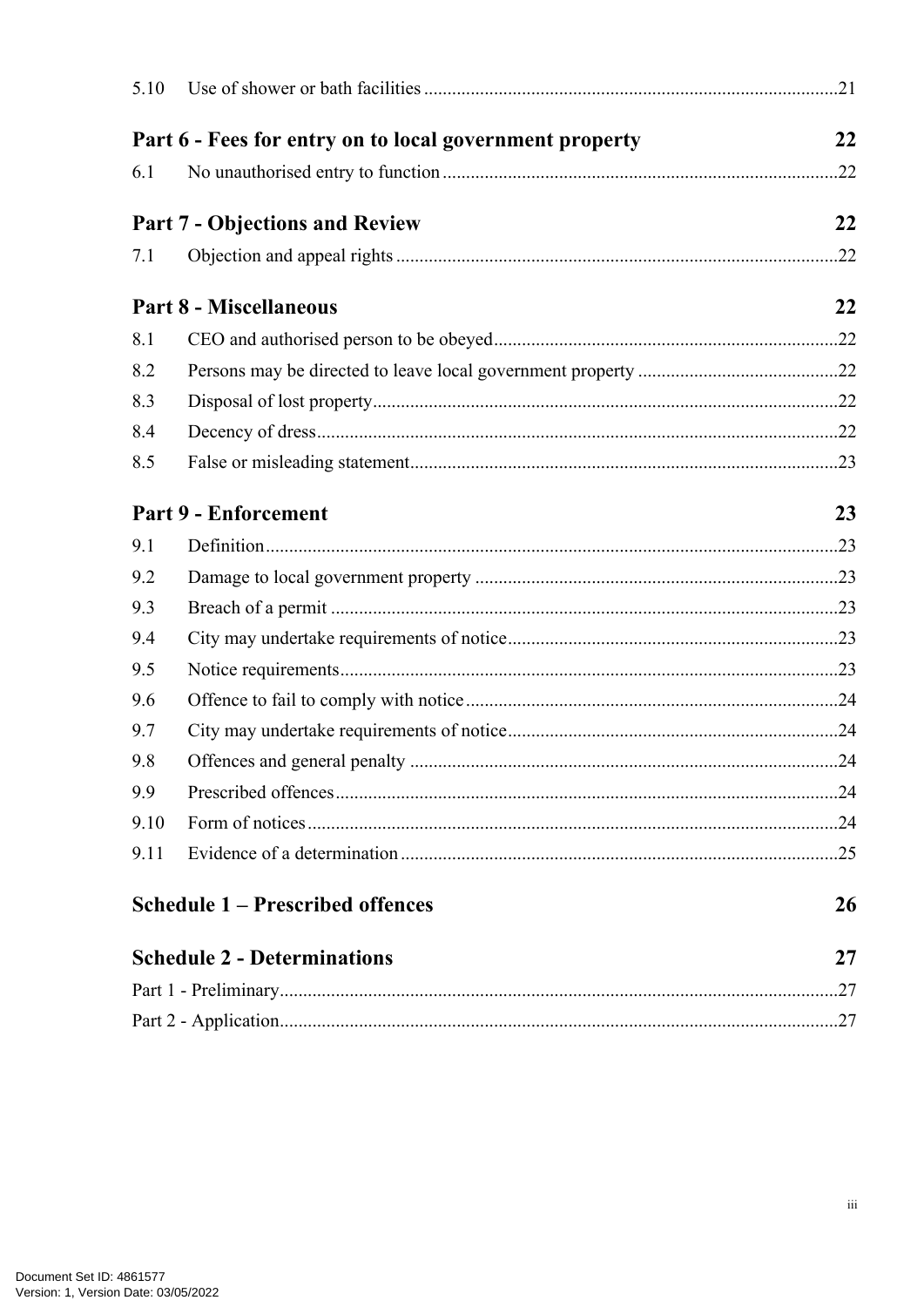| 5.10                                                    |                                         |    |
|---------------------------------------------------------|-----------------------------------------|----|
| Part 6 - Fees for entry on to local government property |                                         |    |
| 6.1                                                     |                                         |    |
|                                                         | <b>Part 7 - Objections and Review</b>   | 22 |
| 7.1                                                     |                                         |    |
|                                                         |                                         |    |
|                                                         | <b>Part 8 - Miscellaneous</b>           | 22 |
| 8.1                                                     |                                         |    |
| 8.2                                                     |                                         |    |
| 8.3                                                     |                                         |    |
| 8.4                                                     |                                         |    |
| 8.5                                                     |                                         |    |
|                                                         | Part 9 - Enforcement                    | 23 |
| 9.1                                                     |                                         |    |
| 9.2                                                     |                                         |    |
| 9.3                                                     |                                         |    |
| 9.4                                                     |                                         |    |
| 9.5                                                     |                                         |    |
| 9.6                                                     |                                         |    |
| 9.7                                                     |                                         |    |
| 9.8                                                     |                                         |    |
| 9.9                                                     |                                         |    |
| 9.10                                                    |                                         |    |
| 9.11                                                    |                                         |    |
|                                                         | <b>Schedule 1 – Prescribed offences</b> | 26 |
| <b>Schedule 2 - Determinations</b><br>27                |                                         |    |
|                                                         |                                         |    |
|                                                         |                                         |    |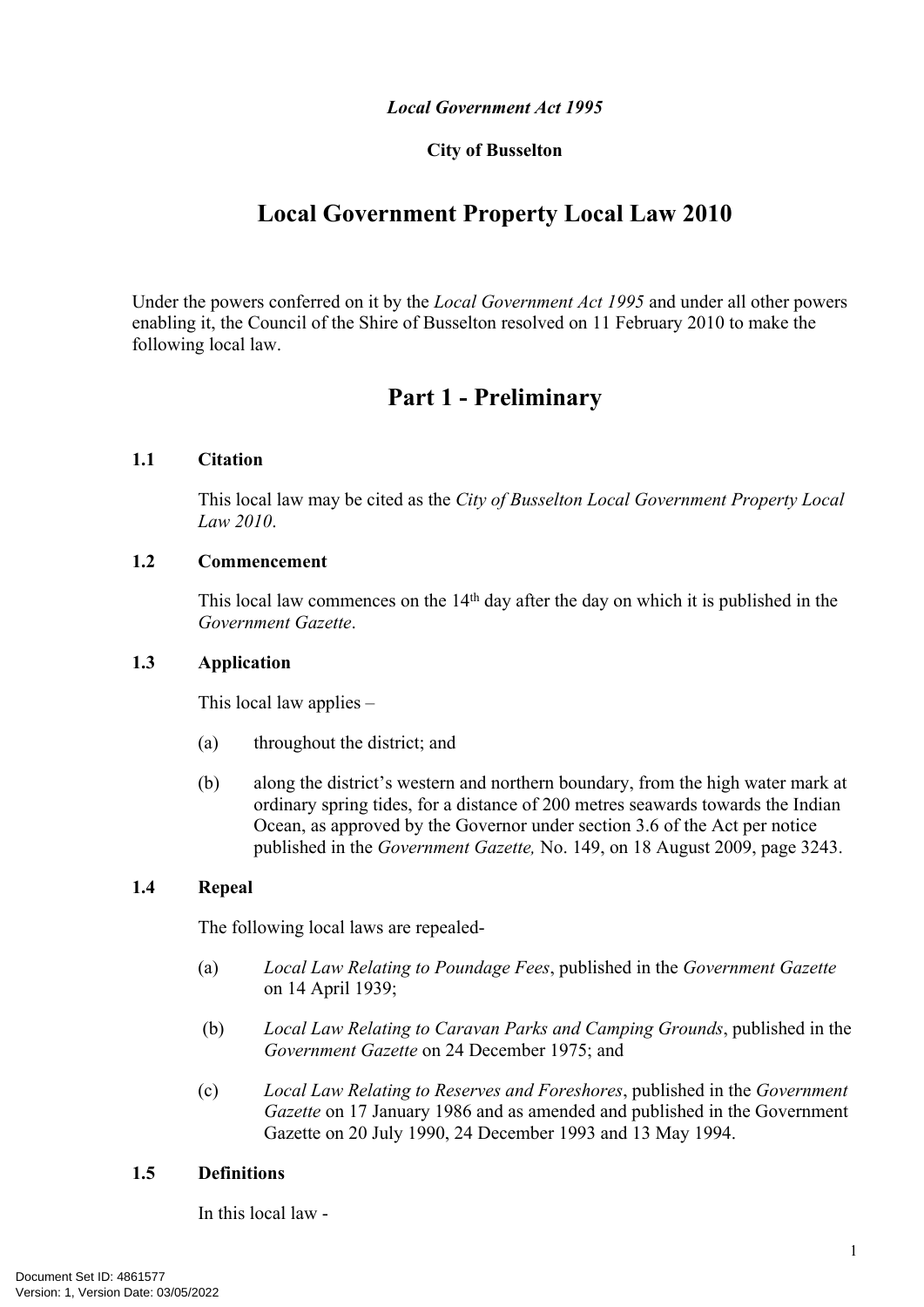#### *Local Government Act 1995*

#### **City of Busselton**

# **Local Government Property Local Law 2010**

Under the powers conferred on it by the *Local Government Act 1995* and under all other powers enabling it, the Council of the Shire of Busselton resolved on 11 February 2010 to make the following local law.

# <span id="page-4-0"></span>**Part 1 - Preliminary**

#### <span id="page-4-1"></span>**1.1 Citation**

This local law may be cited as the *City of Busselton Local Government Property Local Law 2010*.

#### <span id="page-4-2"></span>**1.2 Commencement**

This local law commences on the 14<sup>th</sup> day after the day on which it is published in the *Government Gazette*.

#### <span id="page-4-3"></span>**1.3 Application**

This local law applies –

- (a) throughout the district; and
- (b) along the district's western and northern boundary, from the high water mark at ordinary spring tides, for a distance of 200 metres seawards towards the Indian Ocean, as approved by the Governor under section 3.6 of the Act per notice published in the *Government Gazette,* No. 149, on 18 August 2009, page 3243.

#### <span id="page-4-4"></span>**1.4 Repeal**

The following local laws are repealed-

- (a) *Local Law Relating to Poundage Fees*, published in the *Government Gazette* on 14 April 1939;
- (b) *Local Law Relating to Caravan Parks and Camping Grounds*, published in the *Government Gazette* on 24 December 1975; and
- (c) *Local Law Relating to Reserves and Foreshores*, published in the *Government Gazette* on 17 January 1986 and as amended and published in the Government Gazette on 20 July 1990, 24 December 1993 and 13 May 1994.

#### <span id="page-4-5"></span>**1.5 Definitions**

In this local law -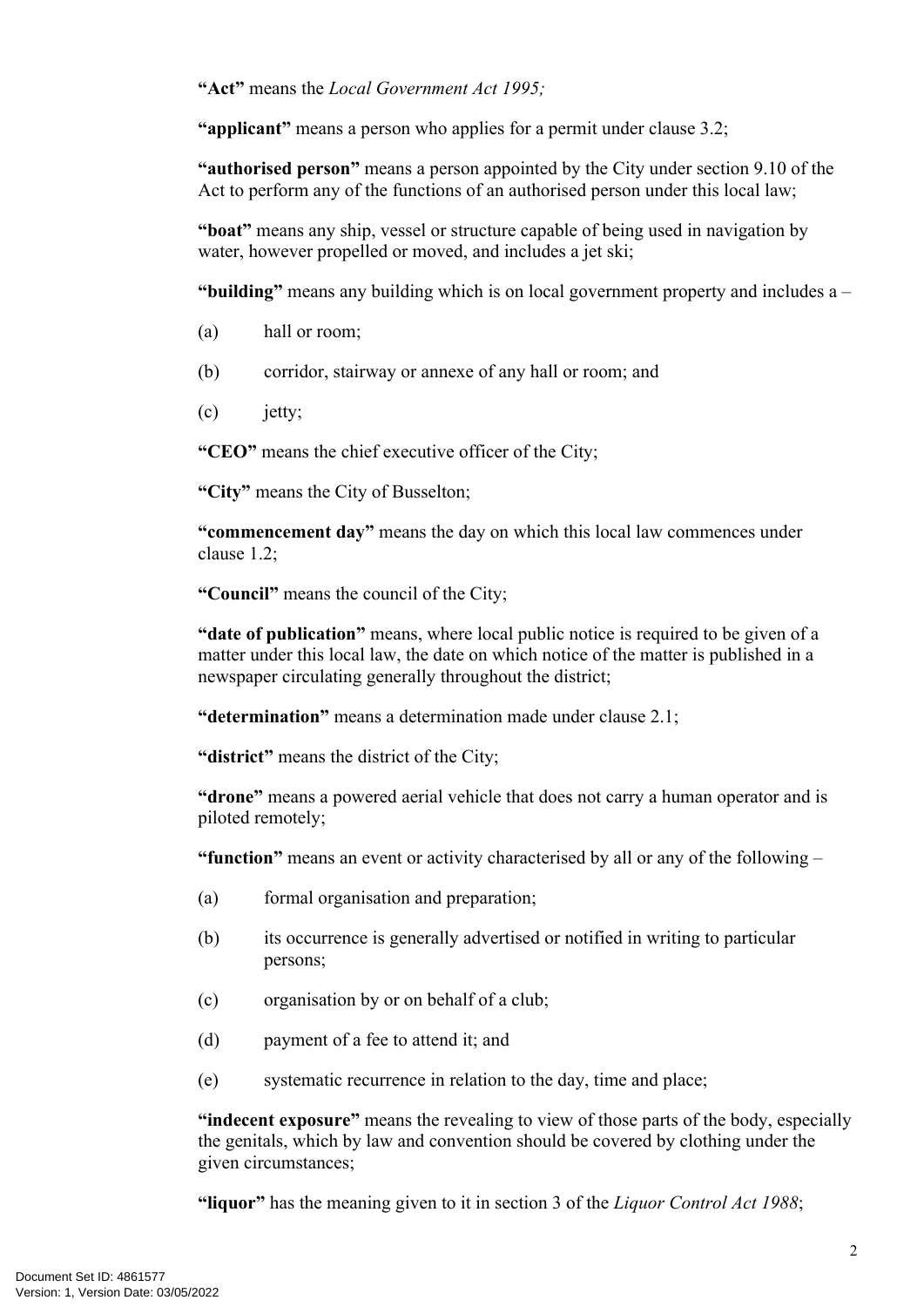**"Act"** means the *Local Government Act 1995;*

**"applicant"** means a person who applies for a permit under clause 3.2;

**"authorised person"** means a person appointed by the City under section 9.10 of the Act to perform any of the functions of an authorised person under this local law;

**"boat"** means any ship, vessel or structure capable of being used in navigation by water, however propelled or moved, and includes a jet ski;

**"building"** means any building which is on local government property and includes a –

- (a) hall or room;
- (b) corridor, stairway or annexe of any hall or room; and
- (c) jetty;

**"CEO"** means the chief executive officer of the City;

**"City"** means the City of Busselton;

**"commencement day"** means the day on which this local law commences under clause [1.2;](#page-4-2)

**"Council"** means the council of the City;

**"date of publication"** means, where local public notice is required to be given of a matter under this local law, the date on which notice of the matter is published in a newspaper circulating generally throughout the district;

**"determination"** means a determination made under clause 2.1;

**"district"** means the district of the City;

**"drone"** means a powered aerial vehicle that does not carry a human operator and is piloted remotely;

**"function"** means an event or activity characterised by all or any of the following –

- (a) formal organisation and preparation;
- (b) its occurrence is generally advertised or notified in writing to particular persons;
- (c) organisation by or on behalf of a club;
- (d) payment of a fee to attend it; and
- (e) systematic recurrence in relation to the day, time and place;

**"indecent exposure"** means the revealing to view of those parts of the body, especially the genitals, which by law and convention should be covered by clothing under the given circumstances;

**"liquor"** has the meaning given to it in section 3 of the *Liquor Control Act 1988*;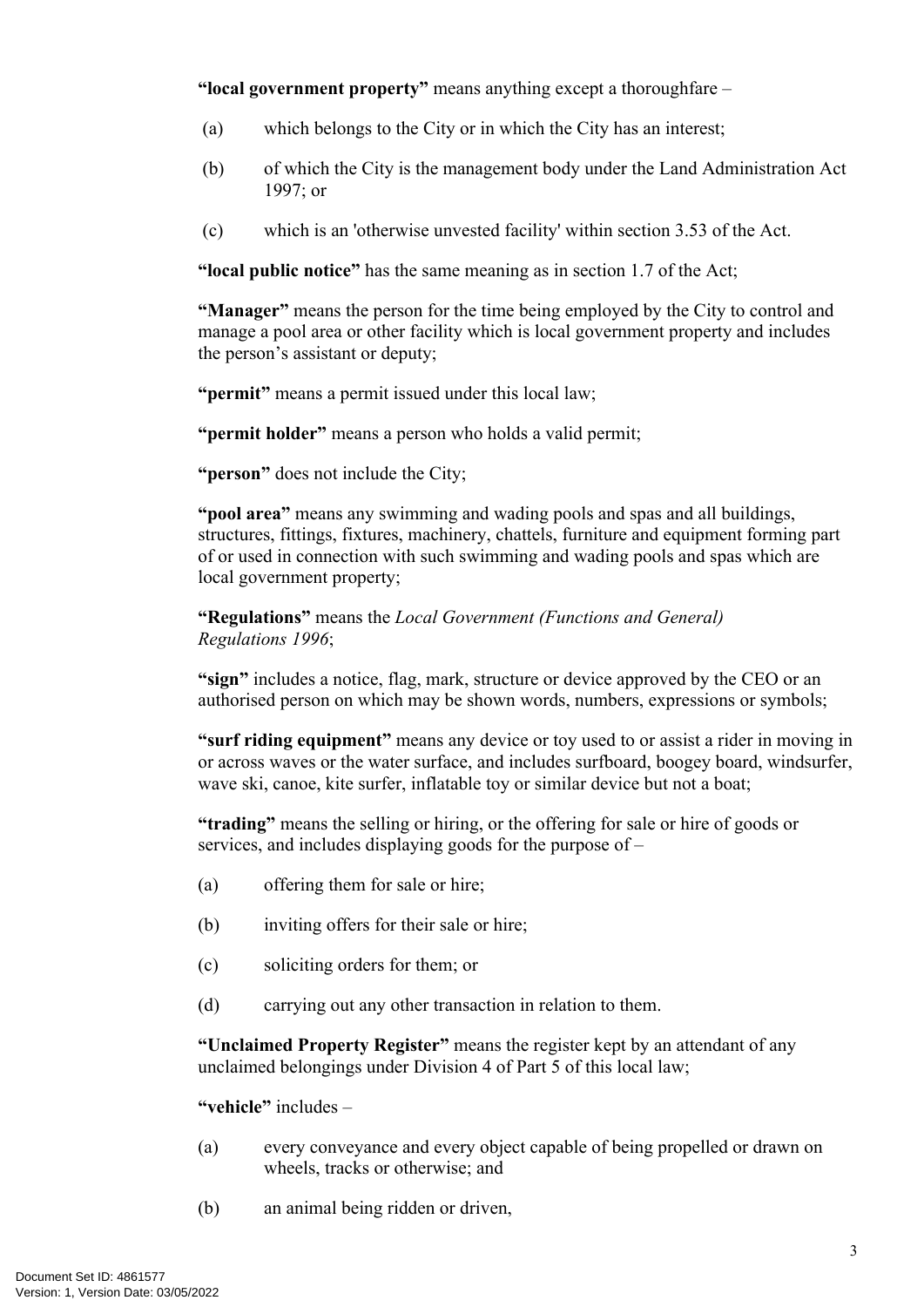**"local government property"** means anything except a thoroughfare –

- (a) which belongs to the City or in which the City has an interest;
- (b) of which the City is the management body under the Land Administration Act 1997; or
- (c) which is an 'otherwise unvested facility' within section 3.53 of the Act.

**"local public notice"** has the same meaning as in section 1.7 of the Act;

**"Manager"** means the person for the time being employed by the City to control and manage a pool area or other facility which is local government property and includes the person's assistant or deputy;

**"permit"** means a permit issued under this local law;

**"permit holder"** means a person who holds a valid permit;

**"person"** does not include the City;

**"pool area"** means any swimming and wading pools and spas and all buildings, structures, fittings, fixtures, machinery, chattels, furniture and equipment forming part of or used in connection with such swimming and wading pools and spas which are local government property;

**"Regulations"** means the *Local Government (Functions and General) Regulations 1996*;

**"sign"** includes a notice, flag, mark, structure or device approved by the CEO or an authorised person on which may be shown words, numbers, expressions or symbols;

**"surf riding equipment"** means any device or toy used to or assist a rider in moving in or across waves or the water surface, and includes surfboard, boogey board, windsurfer, wave ski, canoe, kite surfer, inflatable toy or similar device but not a boat;

**"trading"** means the selling or hiring, or the offering for sale or hire of goods or services, and includes displaying goods for the purpose of –

- (a) offering them for sale or hire;
- (b) inviting offers for their sale or hire;
- (c) soliciting orders for them; or
- (d) carrying out any other transaction in relation to them.

**"Unclaimed Property Register"** means the register kept by an attendant of any unclaimed belongings under Division 4 of Part 5 of this local law;

**"vehicle"** includes –

- (a) every conveyance and every object capable of being propelled or drawn on wheels, tracks or otherwise; and
- (b) an animal being ridden or driven,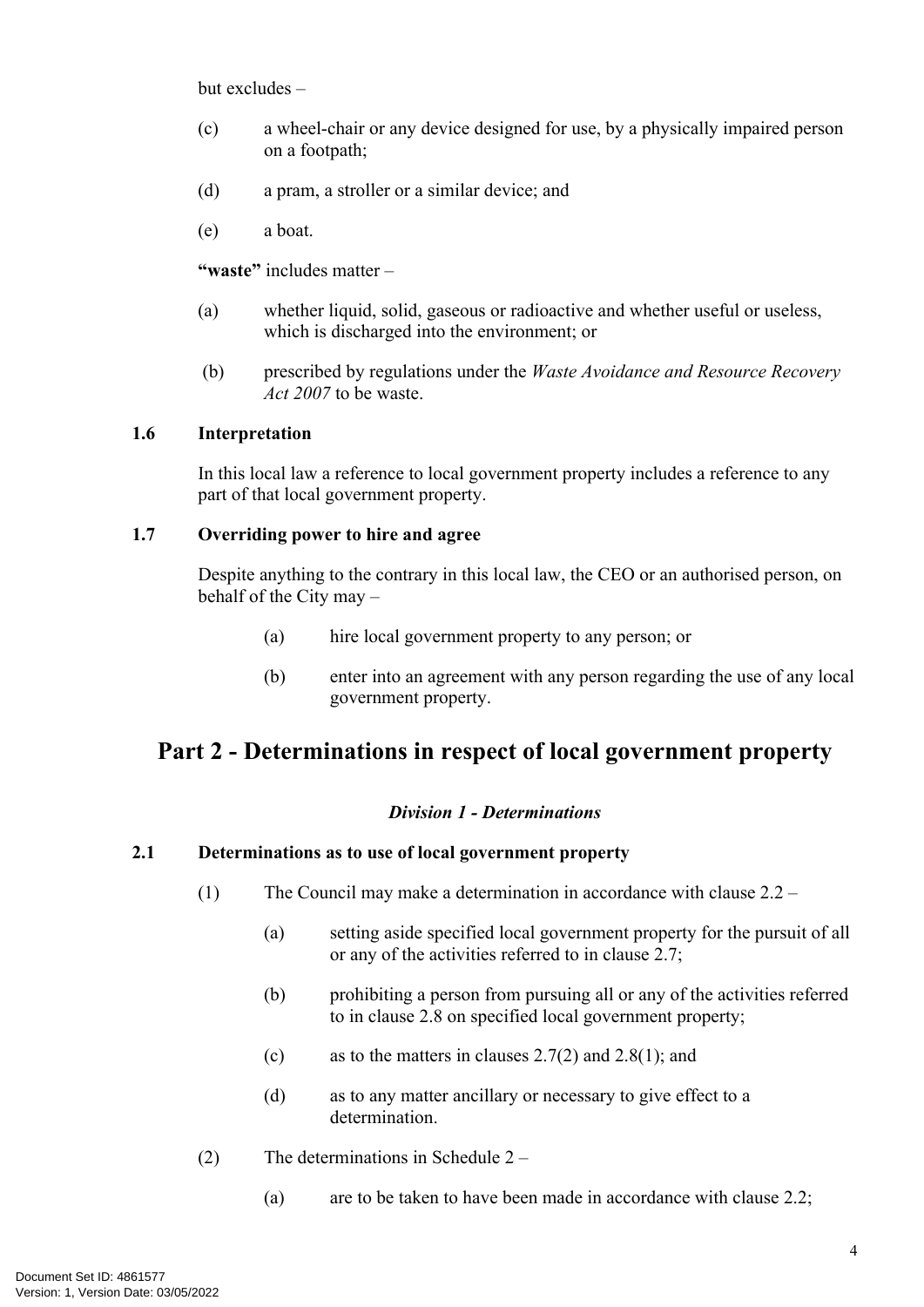but excludes –

- (c) a wheel-chair or any device designed for use, by a physically impaired person on a footpath;
- (d) a pram, a stroller or a similar device; and
- (e) a boat.

**"waste"** includes matter –

- (a) whether liquid, solid, gaseous or radioactive and whether useful or useless, which is discharged into the environment; or
- (b) prescribed by regulations under the *Waste Avoidance and Resource Recovery Act 2007* to be waste.

#### <span id="page-7-0"></span>**1.6 Interpretation**

In this local law a reference to local government property includes a reference to any part of that local government property.

#### <span id="page-7-1"></span>**1.7 Overriding power to hire and agree**

Despite anything to the contrary in this local law, the CEO or an authorised person, on behalf of the City may –

- (a) hire local government property to any person; or
- (b) enter into an agreement with any person regarding the use of any local government property.

### <span id="page-7-2"></span>**Part 2 - Determinations in respect of local government property**

#### *Division 1 - Determinations*

#### <span id="page-7-3"></span>**2.1 Determinations as to use of local government property**

- (1) The Council may make a determination in accordance with clause [2.2](#page-8-0) 
	- (a) setting aside specified local government property for the pursuit of all or any of the activities referred to in clause [2.7;](#page-9-4)
	- (b) prohibiting a person from pursuing all or any of the activities referred to in clause 2.8 on specified local government property;
	- (c) as to the matters in clauses [2.7\(2\)](#page-10-1) and [2.8\(1\)](#page-10-2); and
	- (d) as to any matter ancillary or necessary to give effect to a determination.
- (2) The determinations in Schedule 2
	- (a) are to be taken to have been made in accordance with clause [2.2](#page-8-0);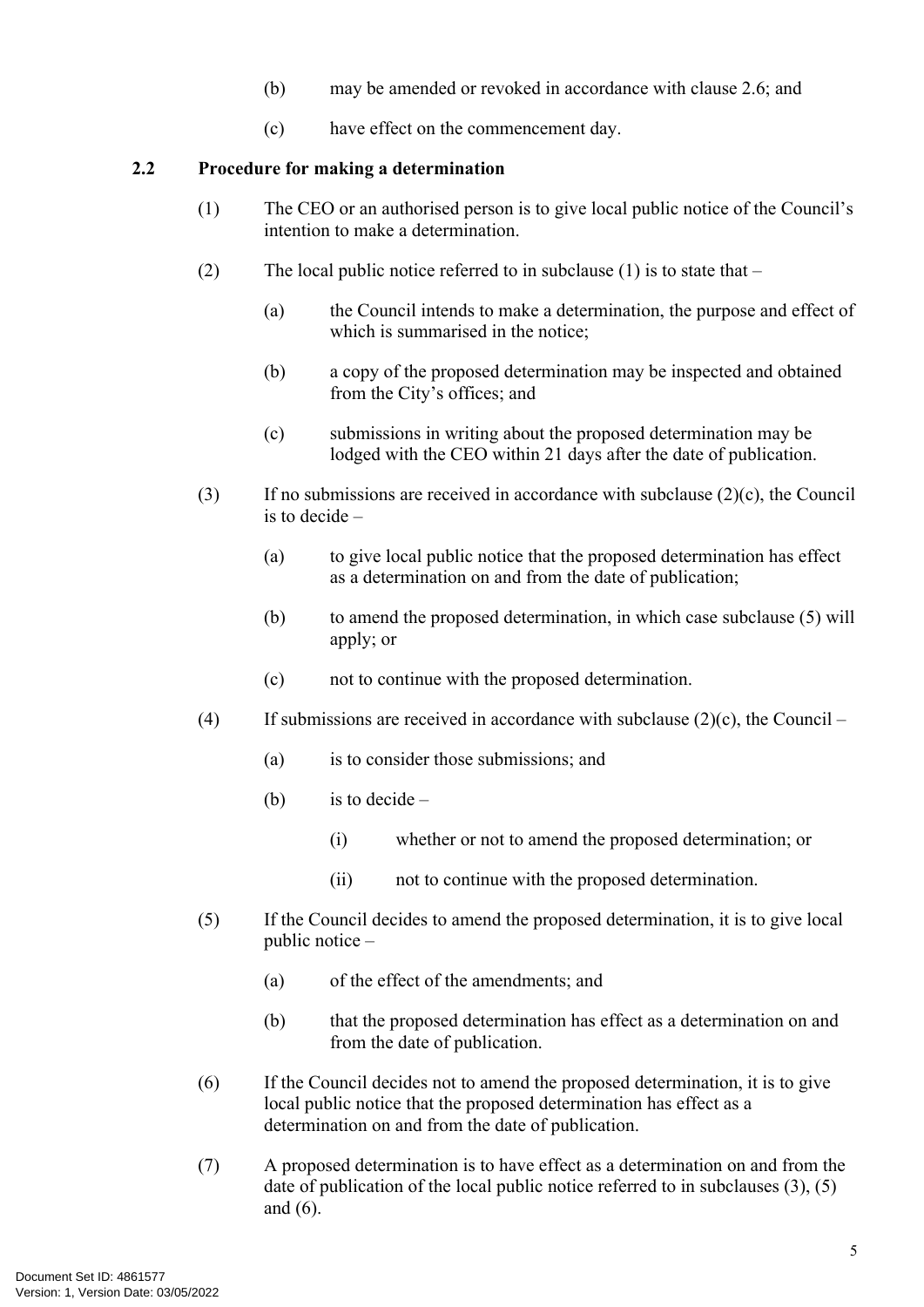- (b) may be amended or revoked in accordance with clause [2.6](#page-9-3); and
- (c) have effect on the commencement day.

#### <span id="page-8-0"></span>**2.2 Procedure for making a determination**

- (1) The CEO or an authorised person is to give local public notice of the Council's intention to make a determination.
- (2) The local public notice referred to in subclause (1) is to state that  $-$ 
	- (a) the Council intends to make a determination, the purpose and effect of which is summarised in the notice;
	- (b) a copy of the proposed determination may be inspected and obtained from the City's offices; and
	- (c) submissions in writing about the proposed determination may be lodged with the CEO within 21 days after the date of publication.
- (3) If no submissions are received in accordance with subclause (2)(c), the Council is to decide –
	- (a) to give local public notice that the proposed determination has effect as a determination on and from the date of publication;
	- (b) to amend the proposed determination, in which case subclause (5) will apply; or
	- (c) not to continue with the proposed determination.
- (4) If submissions are received in accordance with subclause  $(2)(c)$ , the Council
	- (a) is to consider those submissions; and
	- (b) is to decide  $-$ 
		- (i) whether or not to amend the proposed determination; or
		- (ii) not to continue with the proposed determination.
- (5) If the Council decides to amend the proposed determination, it is to give local public notice –
	- (a) of the effect of the amendments; and
	- (b) that the proposed determination has effect as a determination on and from the date of publication.
- (6) If the Council decides not to amend the proposed determination, it is to give local public notice that the proposed determination has effect as a determination on and from the date of publication.
- (7) A proposed determination is to have effect as a determination on and from the date of publication of the local public notice referred to in subclauses (3), (5) and (6).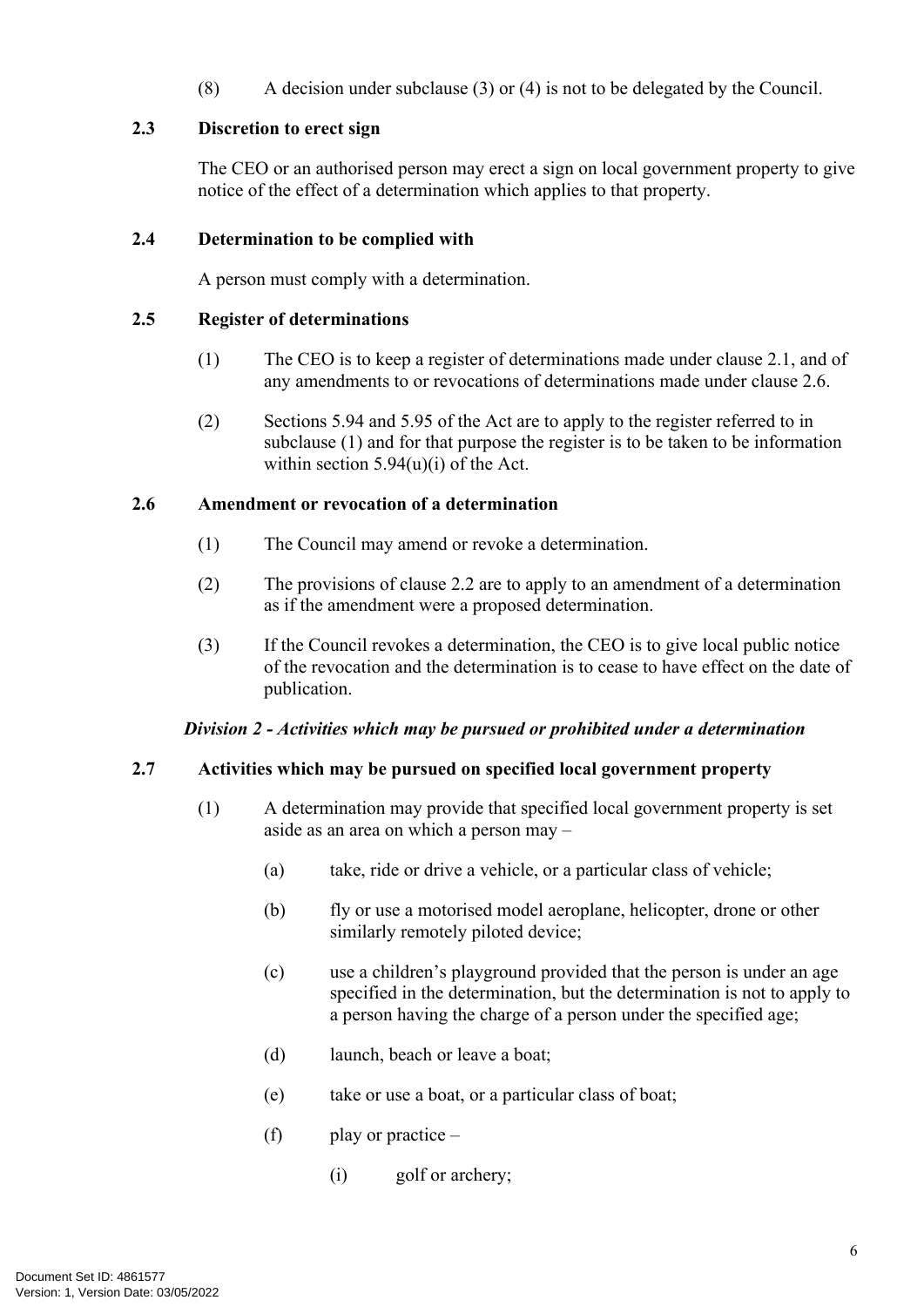(8) A decision under subclause (3) or (4) is not to be delegated by the Council.

#### <span id="page-9-0"></span>**2.3 Discretion to erect sign**

The CEO or an authorised person may erect a sign on local government property to give notice of the effect of a determination which applies to that property.

#### <span id="page-9-1"></span>**2.4 Determination to be complied with**

A person must comply with a determination.

#### <span id="page-9-2"></span>**2.5 Register of determinations**

- (1) The CEO is to keep a register of determinations made under clause 2.1, and of any amendments to or revocations of determinations made under clause 2.6.
- (2) Sections 5.94 and 5.95 of the Act are to apply to the register referred to in subclause (1) and for that purpose the register is to be taken to be information within section  $5.94(u)(i)$  of the Act.

#### <span id="page-9-3"></span>**2.6 Amendment or revocation of a determination**

- (1) The Council may amend or revoke a determination.
- (2) The provisions of clause [2.2](#page-8-0) are to apply to an amendment of a determination as if the amendment were a proposed determination.
- (3) If the Council revokes a determination, the CEO is to give local public notice of the revocation and the determination is to cease to have effect on the date of publication.

#### *Division 2 - Activities which may be pursued or prohibited under a determination*

#### <span id="page-9-4"></span>**2.7 Activities which may be pursued on specified local government property**

- (1) A determination may provide that specified local government property is set aside as an area on which a person may –
	- (a) take, ride or drive a vehicle, or a particular class of vehicle;
	- (b) fly or use a motorised model aeroplane, helicopter, drone or other similarly remotely piloted device;
	- (c) use a children's playground provided that the person is under an age specified in the determination, but the determination is not to apply to a person having the charge of a person under the specified age;
	- (d) launch, beach or leave a boat;
	- (e) take or use a boat, or a particular class of boat;
	- (f) play or practice  $-$ 
		- (i) golf or archery;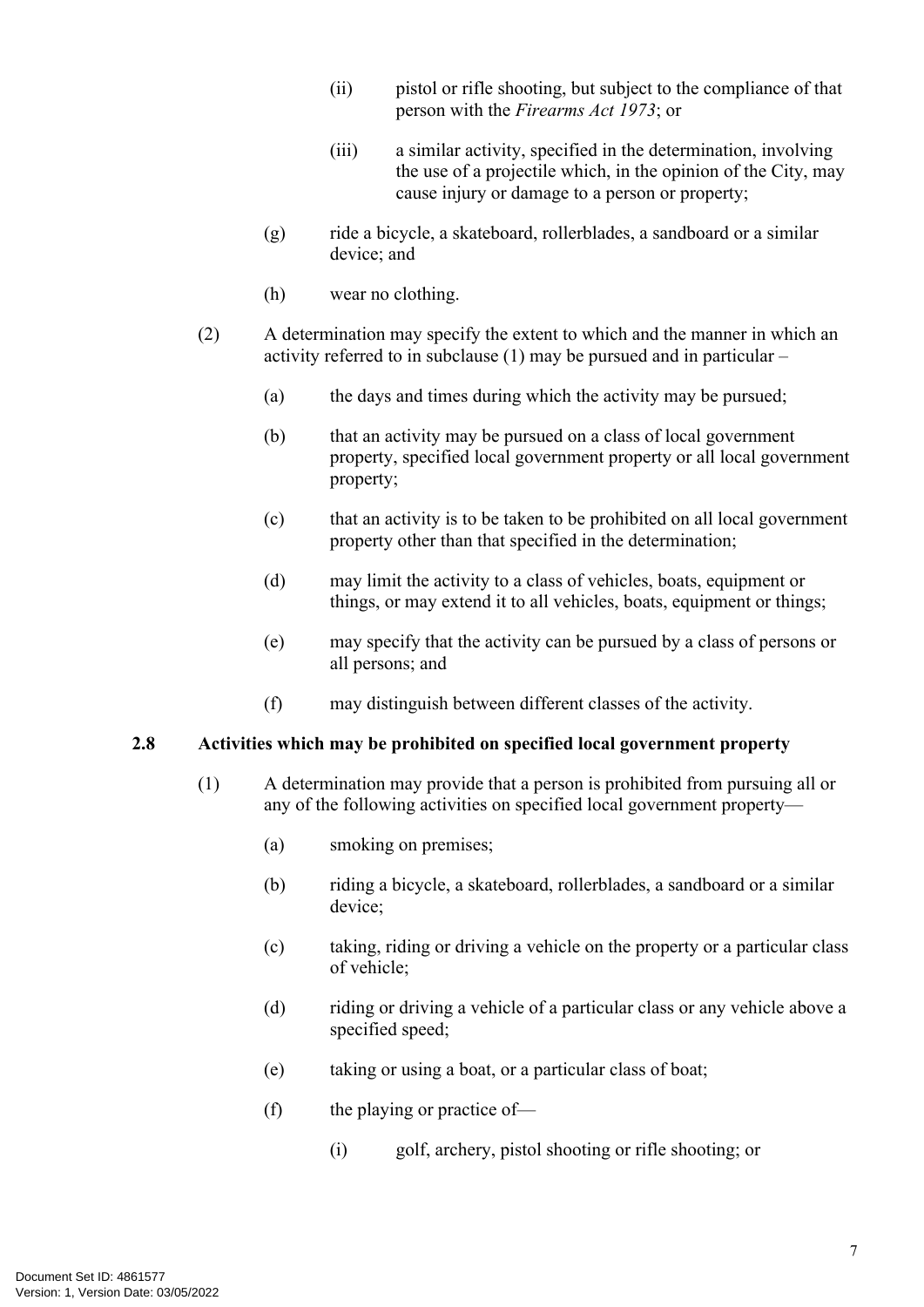- (ii) pistol or rifle shooting, but subject to the compliance of that person with the *Firearms Act 1973*; or
- (iii) a similar activity, specified in the determination, involving the use of a projectile which, in the opinion of the City, may cause injury or damage to a person or property;
- (g) ride a bicycle, a skateboard, rollerblades, a sandboard or a similar device; and
- (h) wear no clothing.
- <span id="page-10-1"></span>(2) A determination may specify the extent to which and the manner in which an activity referred to in subclause (1) may be pursued and in particular –
	- (a) the days and times during which the activity may be pursued;
	- (b) that an activity may be pursued on a class of local government property, specified local government property or all local government property;
	- (c) that an activity is to be taken to be prohibited on all local government property other than that specified in the determination;
	- (d) may limit the activity to a class of vehicles, boats, equipment or things, or may extend it to all vehicles, boats, equipment or things;
	- (e) may specify that the activity can be pursued by a class of persons or all persons; and
	- (f) may distinguish between different classes of the activity.

#### <span id="page-10-0"></span>**2.8 Activities which may be prohibited on specified local government property**

- <span id="page-10-2"></span>(1) A determination may provide that a person is prohibited from pursuing all or any of the following activities on specified local government property—
	- (a) smoking on premises;
	- (b) riding a bicycle, a skateboard, rollerblades, a sandboard or a similar device;
	- (c) taking, riding or driving a vehicle on the property or a particular class of vehicle;
	- (d) riding or driving a vehicle of a particular class or any vehicle above a specified speed;
	- (e) taking or using a boat, or a particular class of boat;
	- (f) the playing or practice of—
		- (i) golf, archery, pistol shooting or rifle shooting; or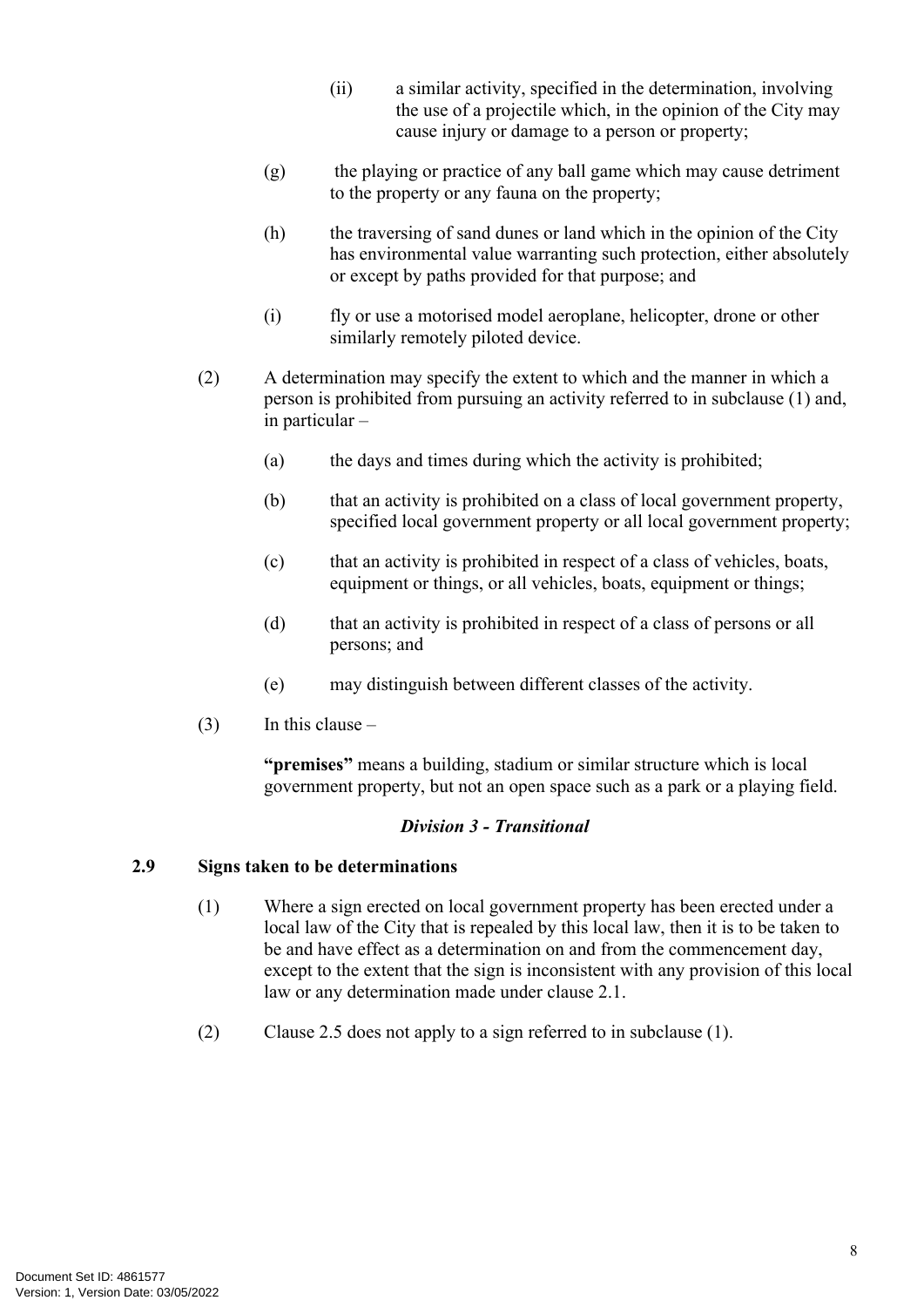- (ii) a similar activity, specified in the determination, involving the use of a projectile which, in the opinion of the City may cause injury or damage to a person or property;
- (g) the playing or practice of any ball game which may cause detriment to the property or any fauna on the property;
- (h) the traversing of sand dunes or land which in the opinion of the City has environmental value warranting such protection, either absolutely or except by paths provided for that purpose; and
- (i) fly or use a motorised model aeroplane, helicopter, drone or other similarly remotely piloted device.
- (2) A determination may specify the extent to which and the manner in which a person is prohibited from pursuing an activity referred to in subclause (1) and, in particular –
	- (a) the days and times during which the activity is prohibited;
	- (b) that an activity is prohibited on a class of local government property, specified local government property or all local government property;
	- (c) that an activity is prohibited in respect of a class of vehicles, boats, equipment or things, or all vehicles, boats, equipment or things;
	- (d) that an activity is prohibited in respect of a class of persons or all persons; and
	- (e) may distinguish between different classes of the activity.
- $(3)$  In this clause –

**"premises"** means a building, stadium or similar structure which is local government property, but not an open space such as a park or a playing field.

#### *Division 3 - Transitional*

#### <span id="page-11-0"></span>**2.9 Signs taken to be determinations**

- (1) Where a sign erected on local government property has been erected under a local law of the City that is repealed by this local law, then it is to be taken to be and have effect as a determination on and from the commencement day, except to the extent that the sign is inconsistent with any provision of this local law or any determination made under clause [2.1.](#page-7-3)
- (2) Clause [2.5](#page-9-2) does not apply to a sign referred to in subclause (1).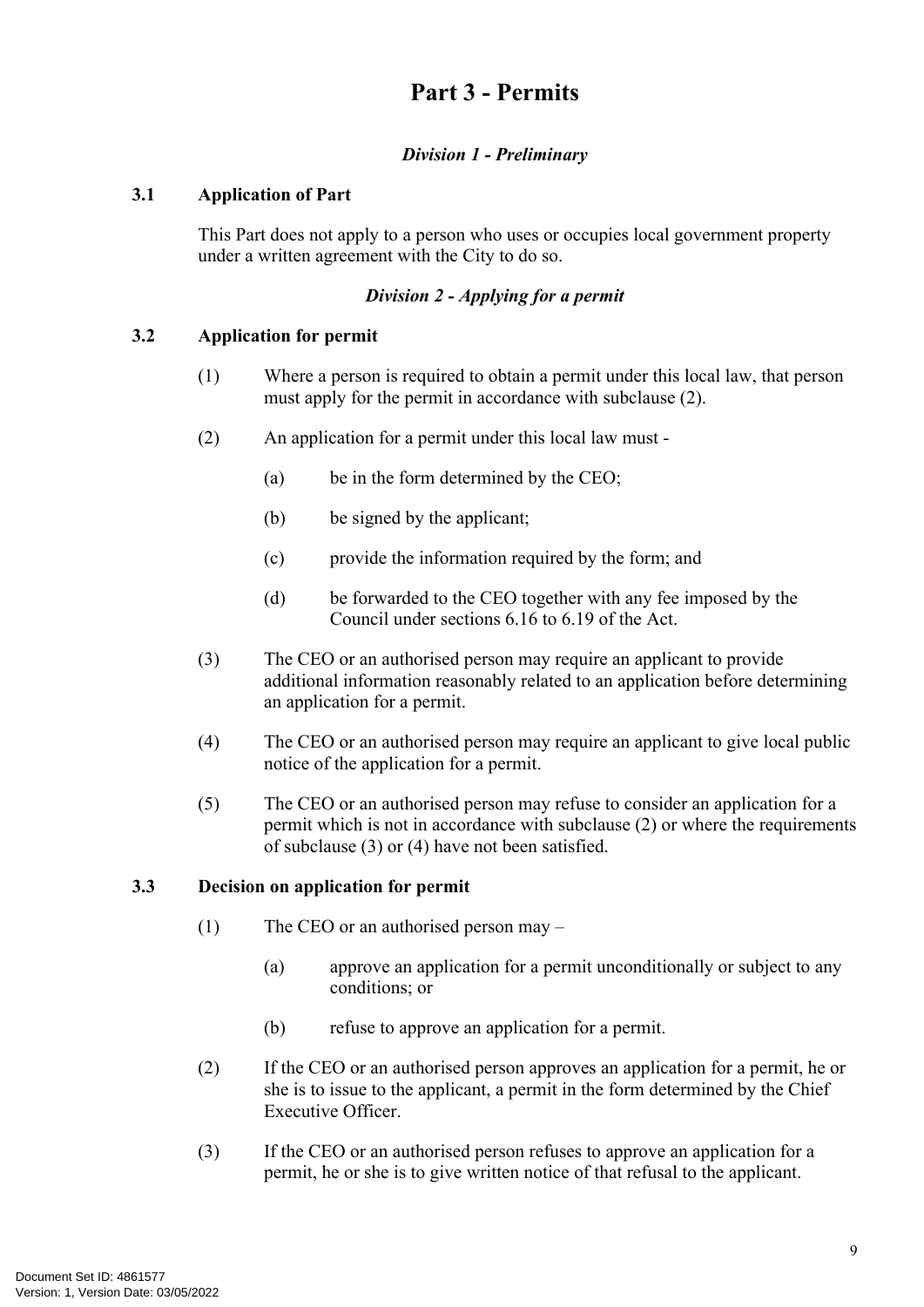# <span id="page-12-0"></span>**Part 3 - Permits**

#### *Division 1 - Preliminary*

#### <span id="page-12-1"></span>**3.1 Application of Part**

This Part does not apply to a person who uses or occupies local government property under a written agreement with the City to do so.

#### *Division 2 - Applying for a permit*

#### <span id="page-12-2"></span>**3.2 Application for permit**

- (1) Where a person is required to obtain a permit under this local law, that person must apply for the permit in accordance with subclause (2).
- (2) An application for a permit under this local law must
	- (a) be in the form determined by the CEO;
	- (b) be signed by the applicant;
	- (c) provide the information required by the form; and
	- (d) be forwarded to the CEO together with any fee imposed by the Council under sections 6.16 to 6.19 of the Act.
- (3) The CEO or an authorised person may require an applicant to provide additional information reasonably related to an application before determining an application for a permit.
- (4) The CEO or an authorised person may require an applicant to give local public notice of the application for a permit.
- (5) The CEO or an authorised person may refuse to consider an application for a permit which is not in accordance with subclause (2) or where the requirements of subclause (3) or (4) have not been satisfied.

#### <span id="page-12-3"></span>**3.3 Decision on application for permit**

- (1) The CEO or an authorised person may
	- (a) approve an application for a permit unconditionally or subject to any conditions; or
	- (b) refuse to approve an application for a permit.
- (2) If the CEO or an authorised person approves an application for a permit, he or she is to issue to the applicant, a permit in the form determined by the Chief Executive Officer.
- (3) If the CEO or an authorised person refuses to approve an application for a permit, he or she is to give written notice of that refusal to the applicant.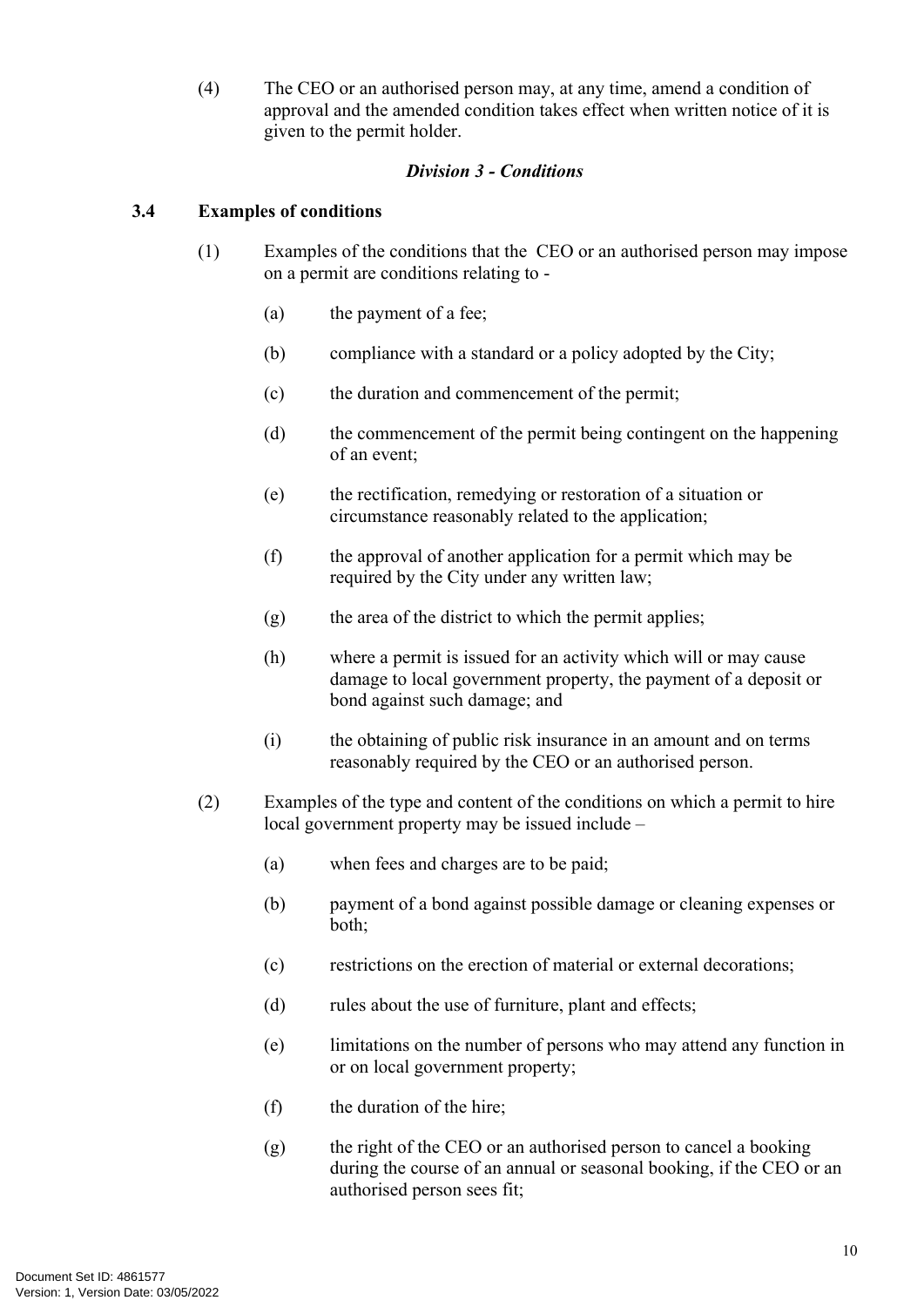(4) The CEO or an authorised person may, at any time, amend a condition of approval and the amended condition takes effect when written notice of it is given to the permit holder.

#### *Division 3 - Conditions*

#### <span id="page-13-0"></span>**3.4 Examples of conditions**

- (1) Examples of the conditions that the CEO or an authorised person may impose on a permit are conditions relating to -
	- (a) the payment of a fee;
	- (b) compliance with a standard or a policy adopted by the City;
	- (c) the duration and commencement of the permit;
	- (d) the commencement of the permit being contingent on the happening of an event;
	- (e) the rectification, remedying or restoration of a situation or circumstance reasonably related to the application;
	- (f) the approval of another application for a permit which may be required by the City under any written law;
	- $(g)$  the area of the district to which the permit applies;
	- (h) where a permit is issued for an activity which will or may cause damage to local government property, the payment of a deposit or bond against such damage; and
	- (i) the obtaining of public risk insurance in an amount and on terms reasonably required by the CEO or an authorised person.
- (2) Examples of the type and content of the conditions on which a permit to hire local government property may be issued include –
	- (a) when fees and charges are to be paid;
	- (b) payment of a bond against possible damage or cleaning expenses or both;
	- (c) restrictions on the erection of material or external decorations;
	- (d) rules about the use of furniture, plant and effects;
	- (e) limitations on the number of persons who may attend any function in or on local government property;
	- (f) the duration of the hire;
	- (g) the right of the CEO or an authorised person to cancel a booking during the course of an annual or seasonal booking, if the CEO or an authorised person sees fit;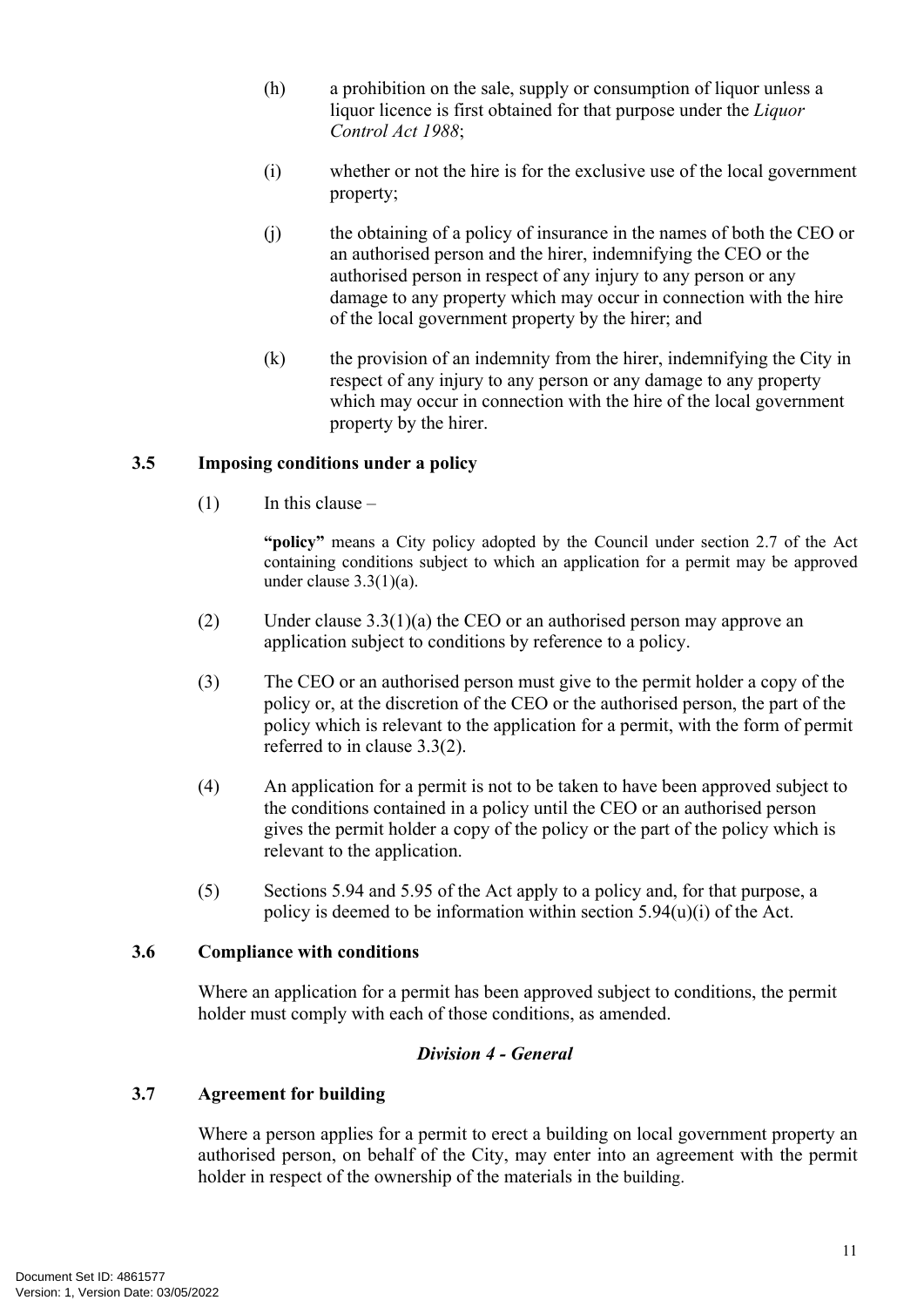- (h) a prohibition on the sale, supply or consumption of liquor unless a liquor licence is first obtained for that purpose under the *Liquor Control Act 1988*;
- (i) whether or not the hire is for the exclusive use of the local government property;
- (j) the obtaining of a policy of insurance in the names of both the CEO or an authorised person and the hirer, indemnifying the CEO or the authorised person in respect of any injury to any person or any damage to any property which may occur in connection with the hire of the local government property by the hirer; and
- (k) the provision of an indemnity from the hirer, indemnifying the City in respect of any injury to any person or any damage to any property which may occur in connection with the hire of the local government property by the hirer.

#### <span id="page-14-0"></span>**3.5 Imposing conditions under a policy**

 $(1)$  In this clause –

**"policy"** means a City policy adopted by the Council under section 2.7 of the Act containing conditions subject to which an application for a permit may be approved under clause 3.3(1)(a).

- (2) Under clause 3.3(1)(a) the CEO or an authorised person may approve an application subject to conditions by reference to a policy.
- (3) The CEO or an authorised person must give to the permit holder a copy of the policy or, at the discretion of the CEO or the authorised person, the part of the policy which is relevant to the application for a permit, with the form of permit referred to in clause 3.3(2).
- (4) An application for a permit is not to be taken to have been approved subject to the conditions contained in a policy until the CEO or an authorised person gives the permit holder a copy of the policy or the part of the policy which is relevant to the application.
- (5) Sections 5.94 and 5.95 of the Act apply to a policy and, for that purpose, a policy is deemed to be information within section 5.94(u)(i) of the Act.

#### <span id="page-14-1"></span>**3.6 Compliance with conditions**

Where an application for a permit has been approved subject to conditions, the permit holder must comply with each of those conditions, as amended.

#### *Division 4 - General*

#### <span id="page-14-2"></span>**3.7 Agreement for building**

Where a person applies for a permit to erect a building on local government property an authorised person, on behalf of the City, may enter into an agreement with the permit holder in respect of the ownership of the materials in the building.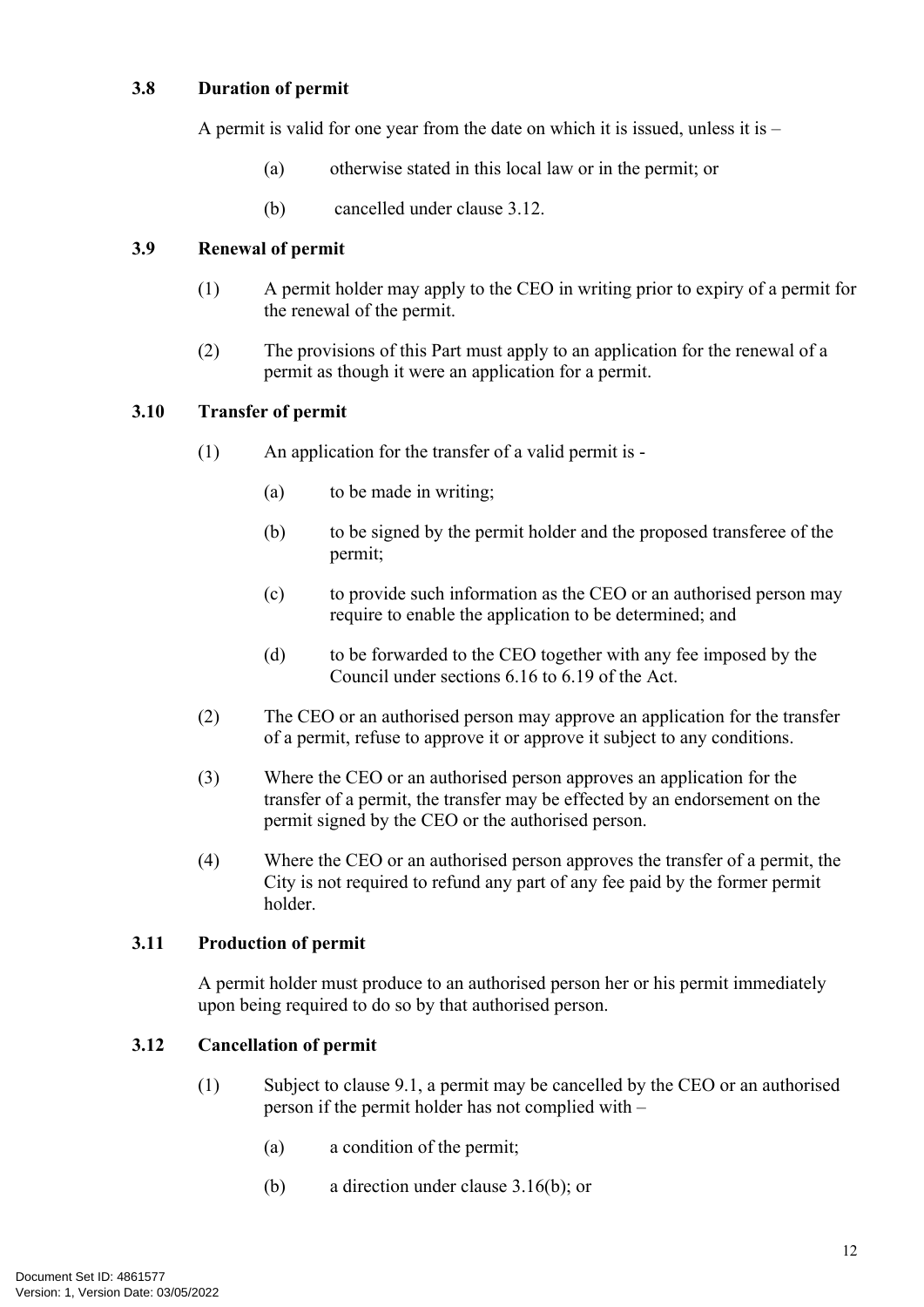#### <span id="page-15-0"></span>**3.8 Duration of permit**

A permit is valid for one year from the date on which it is issued, unless it is –

- (a) otherwise stated in this local law or in the permit; or
- (b) cancelled under clause [3.12](#page-15-4).

#### <span id="page-15-1"></span>**3.9 Renewal of permit**

- (1) A permit holder may apply to the CEO in writing prior to expiry of a permit for the renewal of the permit.
- (2) The provisions of this Part must apply to an application for the renewal of a permit as though it were an application for a permit.

#### <span id="page-15-2"></span>**3.10 Transfer of permit**

- (1) An application for the transfer of a valid permit is
	- (a) to be made in writing;
	- (b) to be signed by the permit holder and the proposed transferee of the permit;
	- (c) to provide such information as the CEO or an authorised person may require to enable the application to be determined; and
	- (d) to be forwarded to the CEO together with any fee imposed by the Council under sections 6.16 to 6.19 of the Act.
- (2) The CEO or an authorised person may approve an application for the transfer of a permit, refuse to approve it or approve it subject to any conditions.
- (3) Where the CEO or an authorised person approves an application for the transfer of a permit, the transfer may be effected by an endorsement on the permit signed by the CEO or the authorised person.
- (4) Where the CEO or an authorised person approves the transfer of a permit, the City is not required to refund any part of any fee paid by the former permit holder.

#### <span id="page-15-3"></span>**3.11 Production of permit**

A permit holder must produce to an authorised person her or his permit immediately upon being required to do so by that authorised person.

#### <span id="page-15-4"></span>**3.12 Cancellation of permit**

- (1) Subject to clause 9.1, a permit may be cancelled by the CEO or an authorised person if the permit holder has not complied with –
	- (a) a condition of the permit;
	- (b) a direction under clause [3.16\(b\);](#page-18-4) or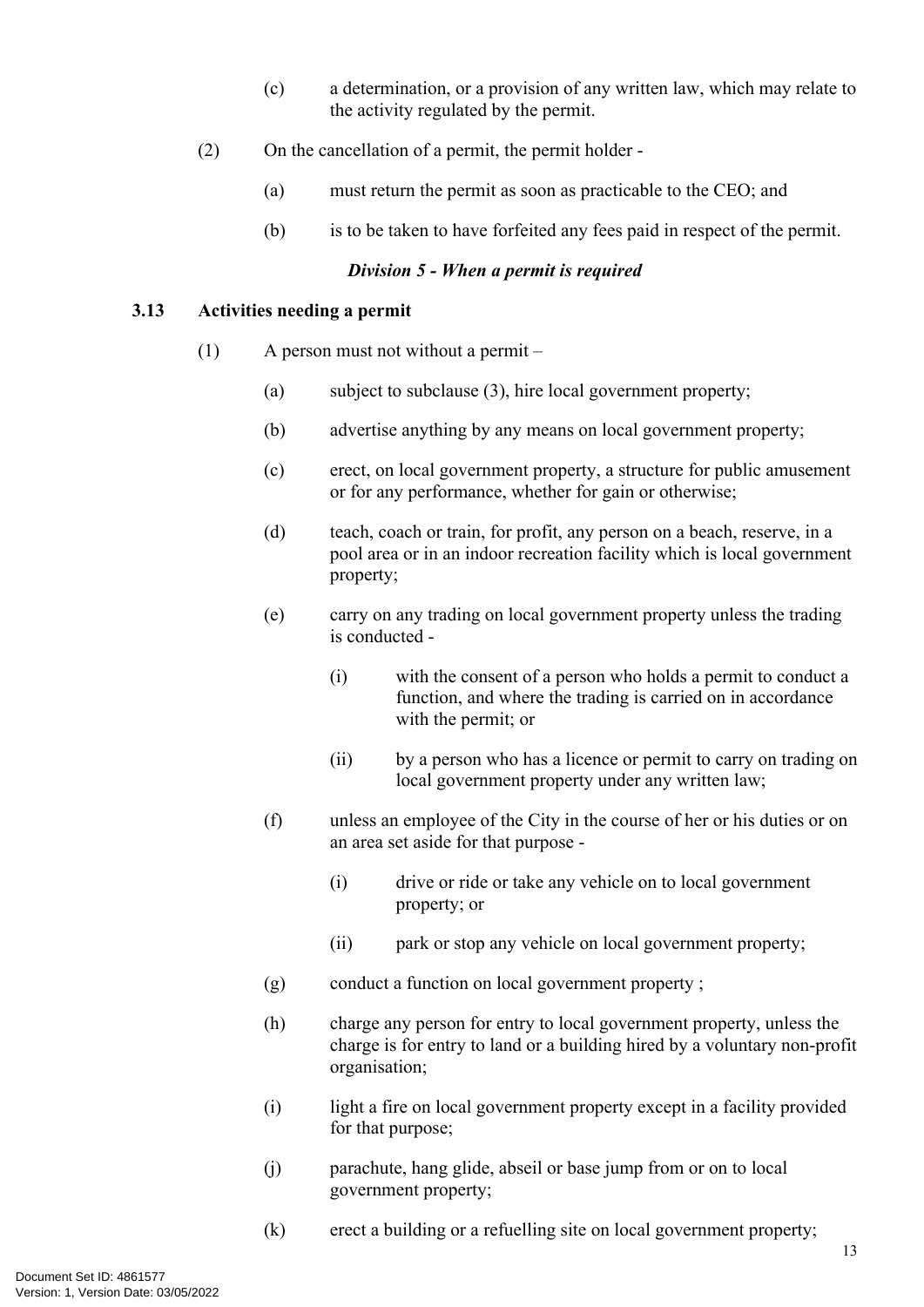- (c) a determination, or a provision of any written law, which may relate to the activity regulated by the permit.
- (2) On the cancellation of a permit, the permit holder
	- (a) must return the permit as soon as practicable to the CEO; and
	- (b) is to be taken to have forfeited any fees paid in respect of the permit.

#### *Division 5 - When a permit is required*

#### <span id="page-16-0"></span>**3.13 Activities needing a permit**

- <span id="page-16-1"></span>(1) A person must not without a permit –
	- (a) subject to subclause (3), hire local government property;
	- (b) advertise anything by any means on local government property;
	- (c) erect, on local government property, a structure for public amusement or for any performance, whether for gain or otherwise;
	- (d) teach, coach or train, for profit, any person on a beach, reserve, in a pool area or in an indoor recreation facility which is local government property;
	- (e) carry on any trading on local government property unless the trading is conducted -
		- (i) with the consent of a person who holds a permit to conduct a function, and where the trading is carried on in accordance with the permit; or
		- (ii) by a person who has a licence or permit to carry on trading on local government property under any written law;
	- (f) unless an employee of the City in the course of her or his duties or on an area set aside for that purpose -
		- (i) drive or ride or take any vehicle on to local government property; or
		- (ii) park or stop any vehicle on local government property;
	- (g) conduct a function on local government property ;
	- (h) charge any person for entry to local government property, unless the charge is for entry to land or a building hired by a voluntary non-profit organisation;
	- (i) light a fire on local government property except in a facility provided for that purpose;
	- (j) parachute, hang glide, abseil or base jump from or on to local government property;
	- (k) erect a building or a refuelling site on local government property;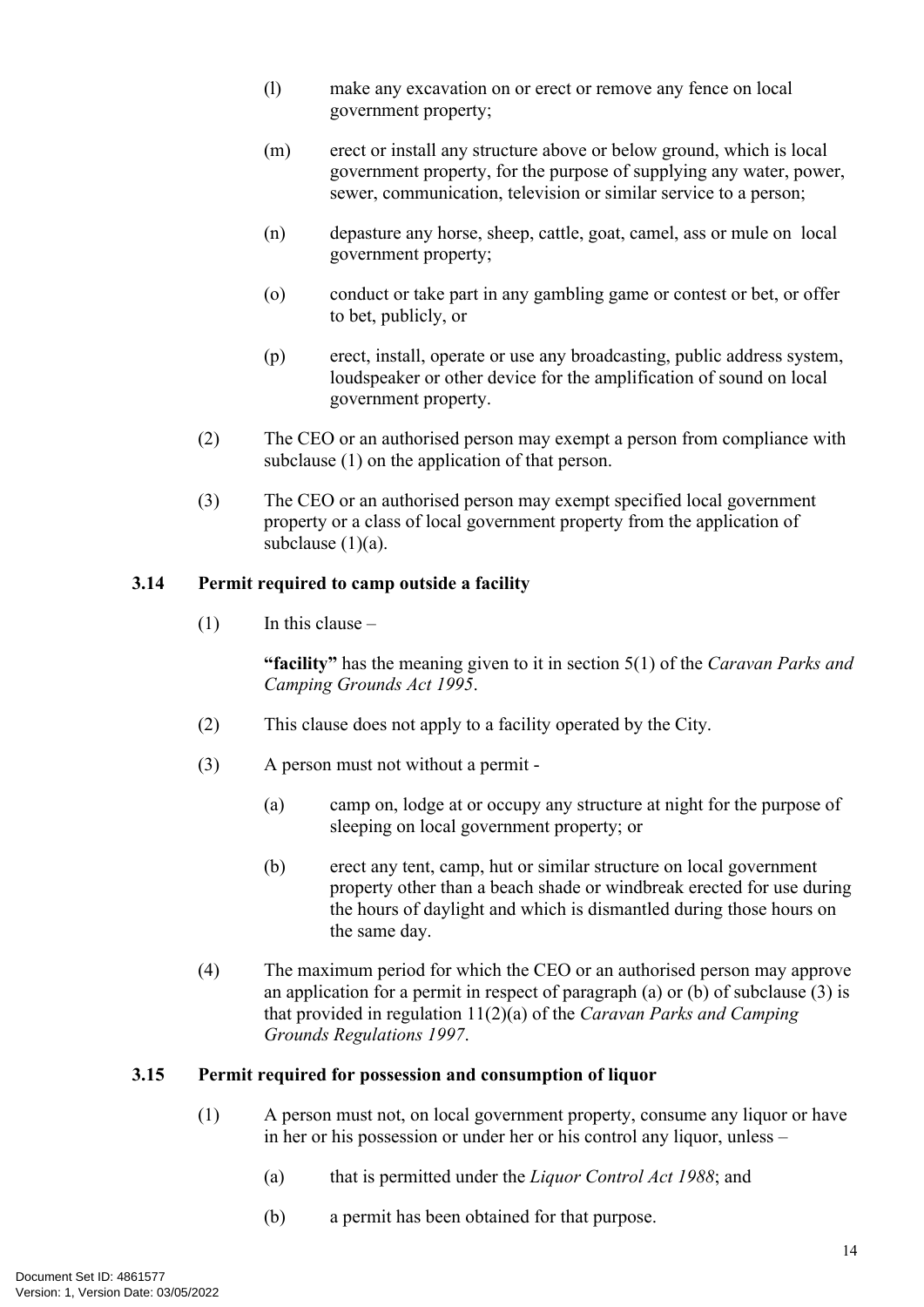- (l) make any excavation on or erect or remove any fence on local government property;
- (m) erect or install any structure above or below ground, which is local government property, for the purpose of supplying any water, power, sewer, communication, television or similar service to a person;
- (n) depasture any horse, sheep, cattle, goat, camel, ass or mule on local government property;
- (o) conduct or take part in any gambling game or contest or bet, or offer to bet, publicly, or
- (p) erect, install, operate or use any broadcasting, public address system, loudspeaker or other device for the amplification of sound on local government property.
- (2) The CEO or an authorised person may exempt a person from compliance with subclause (1) on the application of that person.
- (3) The CEO or an authorised person may exempt specified local government property or a class of local government property from the application of subclause (1)(a).

#### <span id="page-17-0"></span>**3.14 Permit required to camp outside a facility**

 $(1)$  In this clause –

**"facility"** has the meaning given to it in section 5(1) of the *Caravan Parks and Camping Grounds Act 1995*.

- (2) This clause does not apply to a facility operated by the City.
- <span id="page-17-2"></span>(3) A person must not without a permit -
	- (a) camp on, lodge at or occupy any structure at night for the purpose of sleeping on local government property; or
	- (b) erect any tent, camp, hut or similar structure on local government property other than a beach shade or windbreak erected for use during the hours of daylight and which is dismantled during those hours on the same day.
- (4) The maximum period for which the CEO or an authorised person may approve an application for a permit in respect of paragraph (a) or (b) of subclause (3) is that provided in regulation 11(2)(a) of the *Caravan Parks and Camping Grounds Regulations 1997*.

#### <span id="page-17-1"></span>**3.15 Permit required for possession and consumption of liquor**

- <span id="page-17-3"></span>(1) A person must not, on local government property, consume any liquor or have in her or his possession or under her or his control any liquor, unless –
	- (a) that is permitted under the *Liquor Control Act 1988*; and
	- (b) a permit has been obtained for that purpose.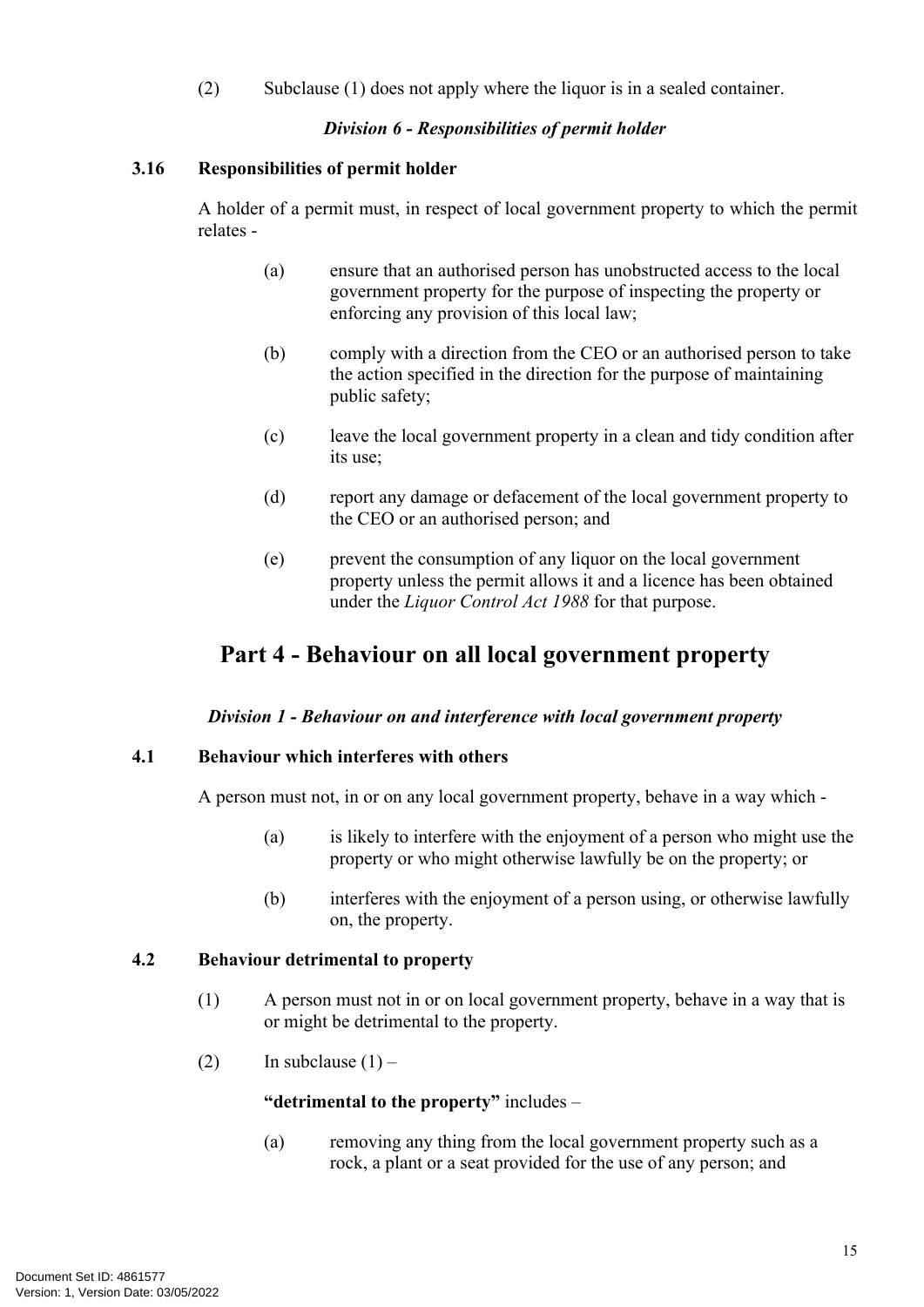(2) Subclause (1) does not apply where the liquor is in a sealed container.

#### *Division 6 - Responsibilities of permit holder*

#### <span id="page-18-0"></span>**3.16 Responsibilities of permit holder**

A holder of a permit must, in respect of local government property to which the permit relates -

- (a) ensure that an authorised person has unobstructed access to the local government property for the purpose of inspecting the property or enforcing any provision of this local law;
- <span id="page-18-4"></span>(b) comply with a direction from the CEO or an authorised person to take the action specified in the direction for the purpose of maintaining public safety;
- (c) leave the local government property in a clean and tidy condition after its use;
- (d) report any damage or defacement of the local government property to the CEO or an authorised person; and
- (e) prevent the consumption of any liquor on the local government property unless the permit allows it and a licence has been obtained under the *Liquor Control Act 1988* for that purpose.

### <span id="page-18-1"></span>**Part 4 - Behaviour on all local government property**

#### *Division 1 - Behaviour on and interference with local government property*

#### <span id="page-18-2"></span>**4.1 Behaviour which interferes with others**

A person must not, in or on any local government property, behave in a way which -

- (a) is likely to interfere with the enjoyment of a person who might use the property or who might otherwise lawfully be on the property; or
- (b) interferes with the enjoyment of a person using, or otherwise lawfully on, the property.

#### <span id="page-18-3"></span>**4.2 Behaviour detrimental to property**

- <span id="page-18-5"></span>(1) A person must not in or on local government property, behave in a way that is or might be detrimental to the property.
- (2) In subclause  $(1)$  –

#### **"detrimental to the property"** includes –

(a) removing any thing from the local government property such as a rock, a plant or a seat provided for the use of any person; and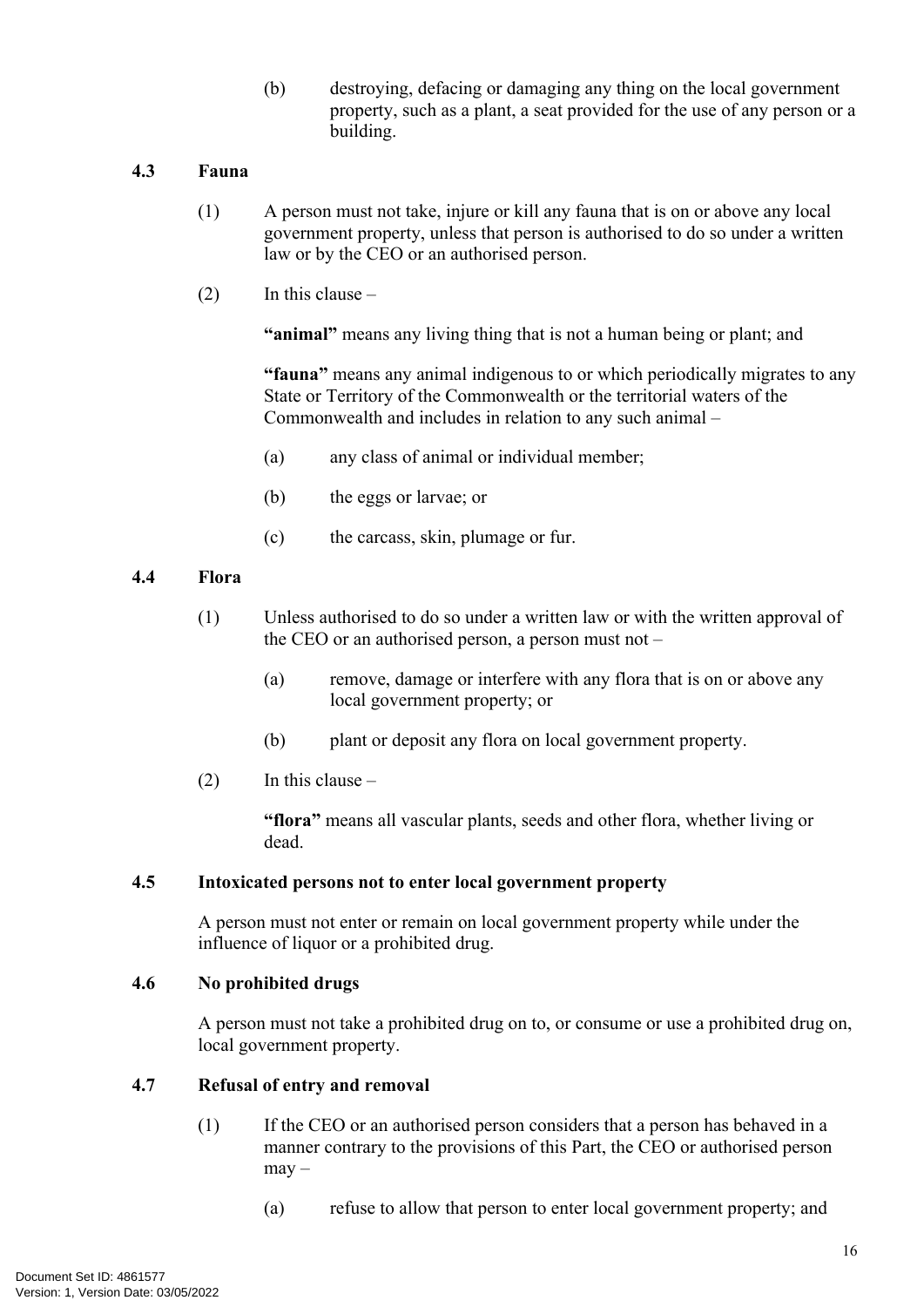(b) destroying, defacing or damaging any thing on the local government property, such as a plant, a seat provided for the use of any person or a building.

#### <span id="page-19-0"></span>**4.3 Fauna**

- (1) A person must not take, injure or kill any fauna that is on or above any local government property, unless that person is authorised to do so under a written law or by the CEO or an authorised person.
- $(2)$  In this clause –

**"animal"** means any living thing that is not a human being or plant; and

**"fauna"** means any animal indigenous to or which periodically migrates to any State or Territory of the Commonwealth or the territorial waters of the Commonwealth and includes in relation to any such animal –

- (a) any class of animal or individual member;
- (b) the eggs or larvae; or
- (c) the carcass, skin, plumage or fur.

#### <span id="page-19-1"></span>**4.4 Flora**

- (1) Unless authorised to do so under a written law or with the written approval of the CEO or an authorised person, a person must not –
	- (a) remove, damage or interfere with any flora that is on or above any local government property; or
	- (b) plant or deposit any flora on local government property.
- $(2)$  In this clause –

**"flora"** means all vascular plants, seeds and other flora, whether living or dead.

#### <span id="page-19-2"></span>**4.5 Intoxicated persons not to enter local government property**

A person must not enter or remain on local government property while under the influence of liquor or a prohibited drug.

#### <span id="page-19-3"></span>**4.6 No prohibited drugs**

A person must not take a prohibited drug on to, or consume or use a prohibited drug on, local government property.

#### <span id="page-19-4"></span>**4.7 Refusal of entry and removal**

- (1) If the CEO or an authorised person considers that a person has behaved in a manner contrary to the provisions of this Part, the CEO or authorised person may –
	- (a) refuse to allow that person to enter local government property; and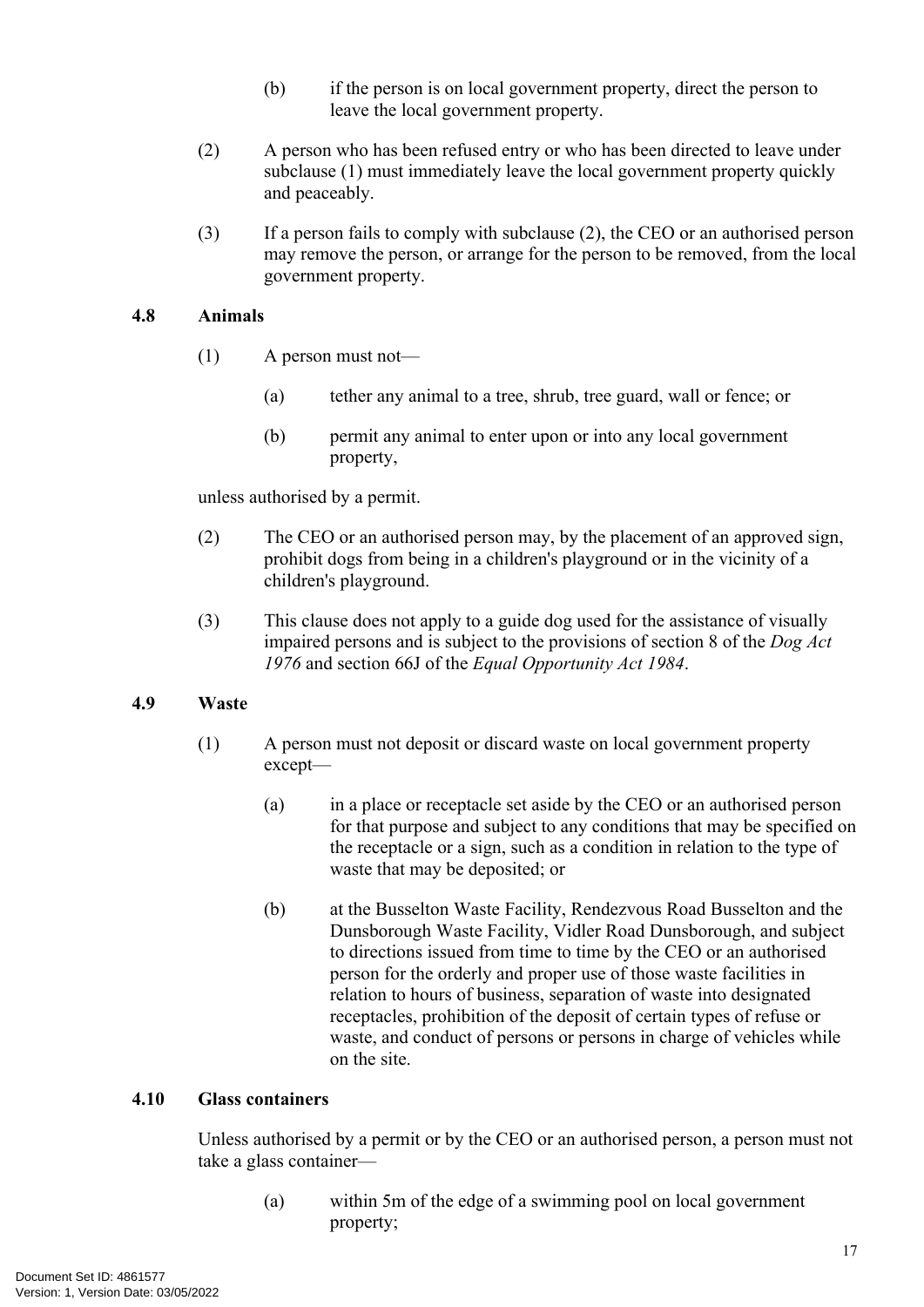- (b) if the person is on local government property, direct the person to leave the local government property.
- (2) A person who has been refused entry or who has been directed to leave under subclause (1) must immediately leave the local government property quickly and peaceably.
- (3) If a person fails to comply with subclause (2), the CEO or an authorised person may remove the person, or arrange for the person to be removed, from the local government property.

#### <span id="page-20-0"></span>**4.8 Animals**

- (1) A person must not—
	- (a) tether any animal to a tree, shrub, tree guard, wall or fence; or
	- (b) permit any animal to enter upon or into any local government property,

unless authorised by a permit.

- (2) The CEO or an authorised person may, by the placement of an approved sign, prohibit dogs from being in a children's playground or in the vicinity of a children's playground.
- (3) This clause does not apply to a guide dog used for the assistance of visually impaired persons and is subject to the provisions of section 8 of the *Dog Act 1976* and section 66J of the *Equal Opportunity Act 1984*.

#### <span id="page-20-1"></span>**4.9 Waste**

- (1) A person must not deposit or discard waste on local government property except—
	- (a) in a place or receptacle set aside by the CEO or an authorised person for that purpose and subject to any conditions that may be specified on the receptacle or a sign, such as a condition in relation to the type of waste that may be deposited; or
	- (b) at the Busselton Waste Facility, Rendezvous Road Busselton and the Dunsborough Waste Facility, Vidler Road Dunsborough, and subject to directions issued from time to time by the CEO or an authorised person for the orderly and proper use of those waste facilities in relation to hours of business, separation of waste into designated receptacles, prohibition of the deposit of certain types of refuse or waste, and conduct of persons or persons in charge of vehicles while on the site.

#### <span id="page-20-2"></span>**4.10 Glass containers**

Unless authorised by a permit or by the CEO or an authorised person, a person must not take a glass container—

(a) within 5m of the edge of a swimming pool on local government property;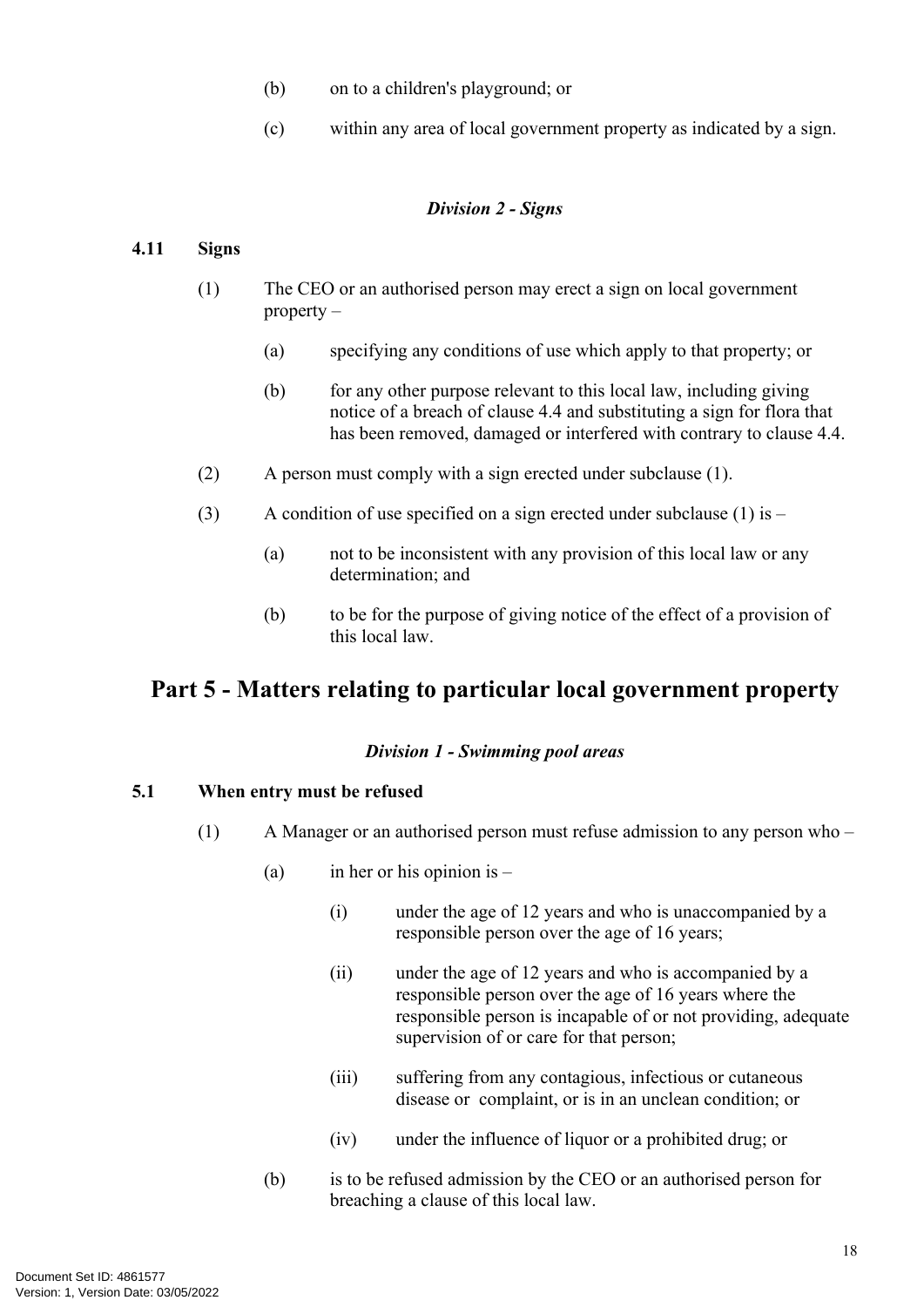- (b) on to a children's playground; or
- (c) within any area of local government property as indicated by a sign.

#### *Division 2 - Signs*

#### <span id="page-21-0"></span>**4.11 Signs**

- (1) The CEO or an authorised person may erect a sign on local government property –
	- (a) specifying any conditions of use which apply to that property; or
	- (b) for any other purpose relevant to this local law, including giving notice of a breach of clause [4.4](#page-19-1) and substituting a sign for flora that has been removed, damaged or interfered with contrary to clause [4.4.](#page-19-1)
- <span id="page-21-3"></span>(2) A person must comply with a sign erected under subclause (1).
- (3) A condition of use specified on a sign erected under subclause (1) is  $-$ 
	- (a) not to be inconsistent with any provision of this local law or any determination; and
	- (b) to be for the purpose of giving notice of the effect of a provision of this local law.

# <span id="page-21-1"></span>**Part 5 - Matters relating to particular local government property**

#### *Division 1 - Swimming pool areas*

#### <span id="page-21-2"></span>**5.1 When entry must be refused**

- (1) A Manager or an authorised person must refuse admission to any person who
	- (a) in her or his opinion is  $-$ 
		- (i) under the age of 12 years and who is unaccompanied by a responsible person over the age of 16 years;
		- (ii) under the age of 12 years and who is accompanied by a responsible person over the age of 16 years where the responsible person is incapable of or not providing, adequate supervision of or care for that person;
		- (iii) suffering from any contagious, infectious or cutaneous disease or complaint, or is in an unclean condition; or
		- (iv) under the influence of liquor or a prohibited drug; or
	- (b) is to be refused admission by the CEO or an authorised person for breaching a clause of this local law.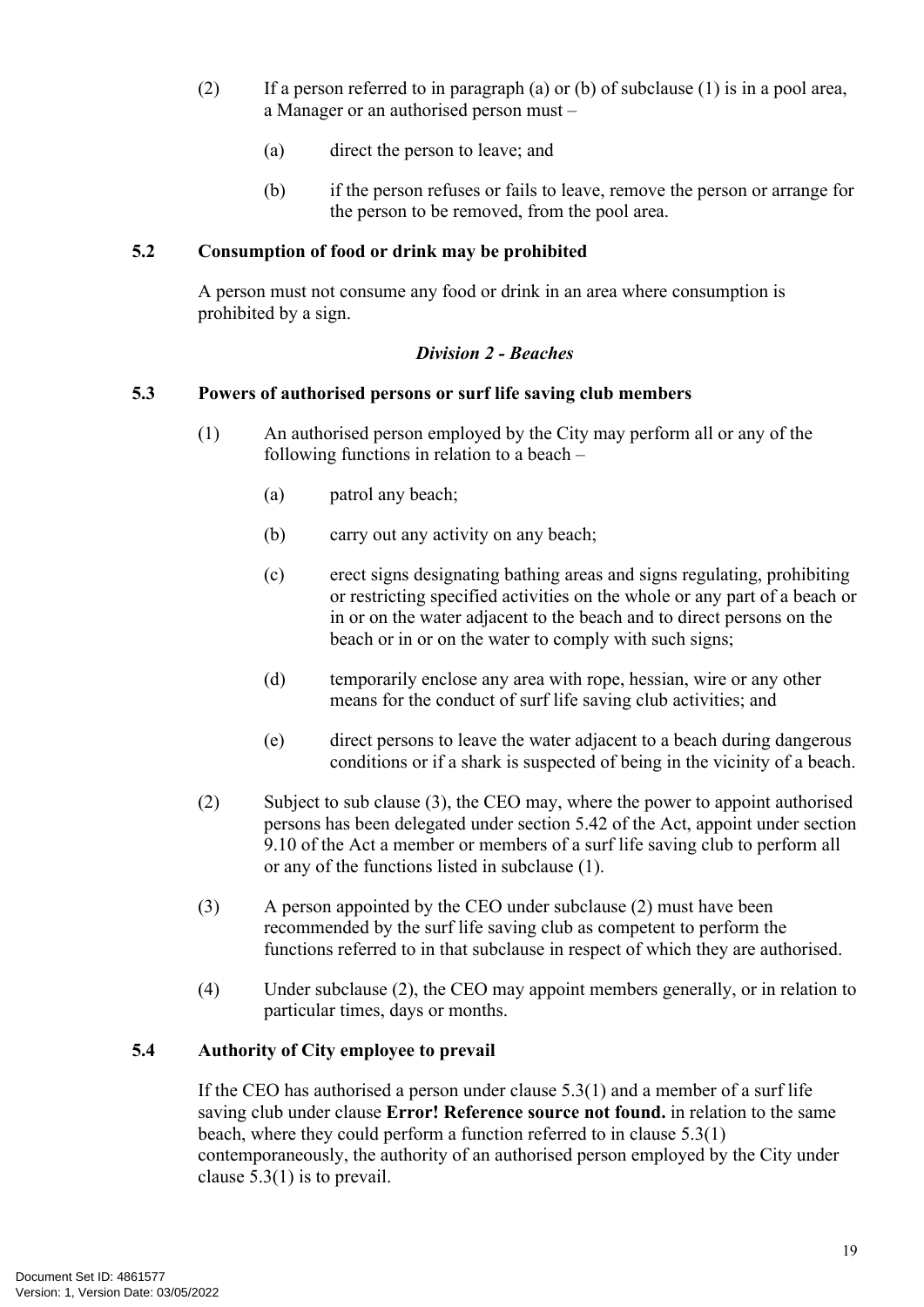- (2) If a person referred to in paragraph (a) or (b) of subclause (1) is in a pool area, a Manager or an authorised person must –
	- (a) direct the person to leave; and
	- (b) if the person refuses or fails to leave, remove the person or arrange for the person to be removed, from the pool area.

#### <span id="page-22-0"></span>**5.2 Consumption of food or drink may be prohibited**

A person must not consume any food or drink in an area where consumption is prohibited by a sign.

#### *Division 2 - Beaches*

#### <span id="page-22-1"></span>**5.3 Powers of authorised persons or surf life saving club members**

- <span id="page-22-3"></span>(1) An authorised person employed by the City may perform all or any of the following functions in relation to a beach –
	- (a) patrol any beach;
	- (b) carry out any activity on any beach;
	- (c) erect signs designating bathing areas and signs regulating, prohibiting or restricting specified activities on the whole or any part of a beach or in or on the water adjacent to the beach and to direct persons on the beach or in or on the water to comply with such signs;
	- (d) temporarily enclose any area with rope, hessian, wire or any other means for the conduct of surf life saving club activities; and
	- (e) direct persons to leave the water adjacent to a beach during dangerous conditions or if a shark is suspected of being in the vicinity of a beach.
- (2) Subject to sub clause (3), the CEO may, where the power to appoint authorised persons has been delegated under section 5.42 of the Act, appoint under section 9.10 of the Act a member or members of a surf life saving club to perform all or any of the functions listed in subclause (1).
- (3) A person appointed by the CEO under subclause (2) must have been recommended by the surf life saving club as competent to perform the functions referred to in that subclause in respect of which they are authorised.
- (4) Under subclause (2), the CEO may appoint members generally, or in relation to particular times, days or months.

#### <span id="page-22-2"></span>**5.4 Authority of City employee to prevail**

If the CEO has authorised a person under clause [5.3\(1\)](#page-22-3) and a member of a surf life saving club under clause **Error! Reference source not found.** in relation to the same beach, where they could perform a function referred to in clause [5.3\(1\)](#page-22-3)  contemporaneously, the authority of an authorised person employed by the City under clause [5.3\(1\)](#page-22-3) is to prevail.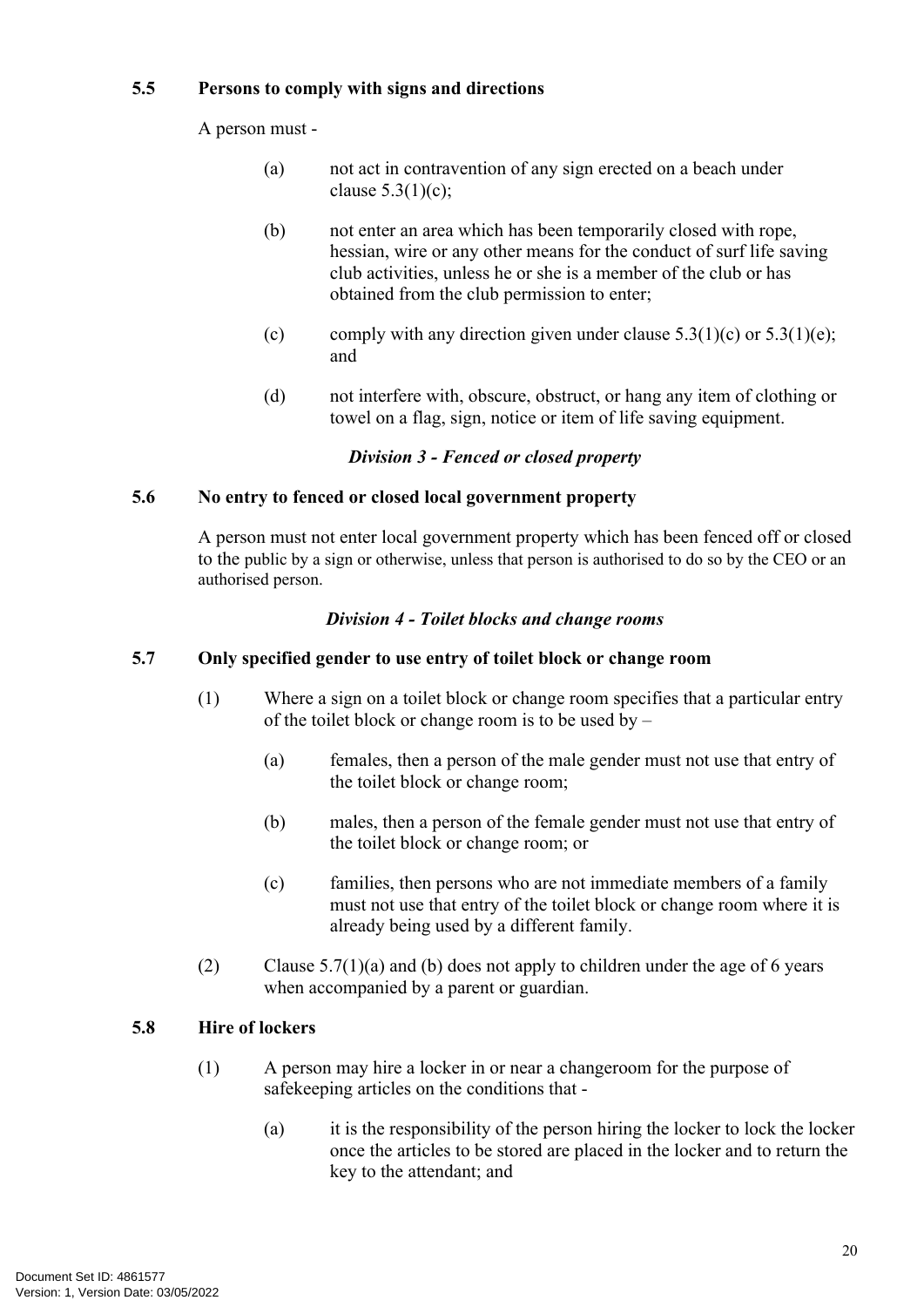#### <span id="page-23-0"></span>**5.5 Persons to comply with signs and directions**

A person must -

- (a) not act in contravention of any sign erected on a beach under clause  $5.3(1)(c)$ ;
- (b) not enter an area which has been temporarily closed with rope, hessian, wire or any other means for the conduct of surf life saving club activities, unless he or she is a member of the club or has obtained from the club permission to enter;
- (c) comply with any direction given under clause  $5.3(1)(c)$  or  $5.3(1)(e)$ ; and
- (d) not interfere with, obscure, obstruct, or hang any item of clothing or towel on a flag, sign, notice or item of life saving equipment.

#### *Division 3 - Fenced or closed property*

#### <span id="page-23-1"></span>**5.6 No entry to fenced or closed local government property**

A person must not enter local government property which has been fenced off or closed to the public by a sign or otherwise, unless that person is authorised to do so by the CEO or an authorised person.

#### *Division 4 - Toilet blocks and change rooms*

#### <span id="page-23-2"></span>**5.7 Only specified gender to use entry of toilet block or change room**

- <span id="page-23-5"></span><span id="page-23-4"></span>(1) Where a sign on a toilet block or change room specifies that a particular entry of the toilet block or change room is to be used by –
	- (a) females, then a person of the male gender must not use that entry of the toilet block or change room;
	- (b) males, then a person of the female gender must not use that entry of the toilet block or change room; or
	- (c) families, then persons who are not immediate members of a family must not use that entry of the toilet block or change room where it is already being used by a different family.
- (2) Clause  $5.7(1)(a)$  and [\(b\)](#page-23-5) does not apply to children under the age of 6 years when accompanied by a parent or guardian.

#### <span id="page-23-3"></span>**5.8 Hire of lockers**

- (1) A person may hire a locker in or near a changeroom for the purpose of safekeeping articles on the conditions that -
	- (a) it is the responsibility of the person hiring the locker to lock the locker once the articles to be stored are placed in the locker and to return the key to the attendant; and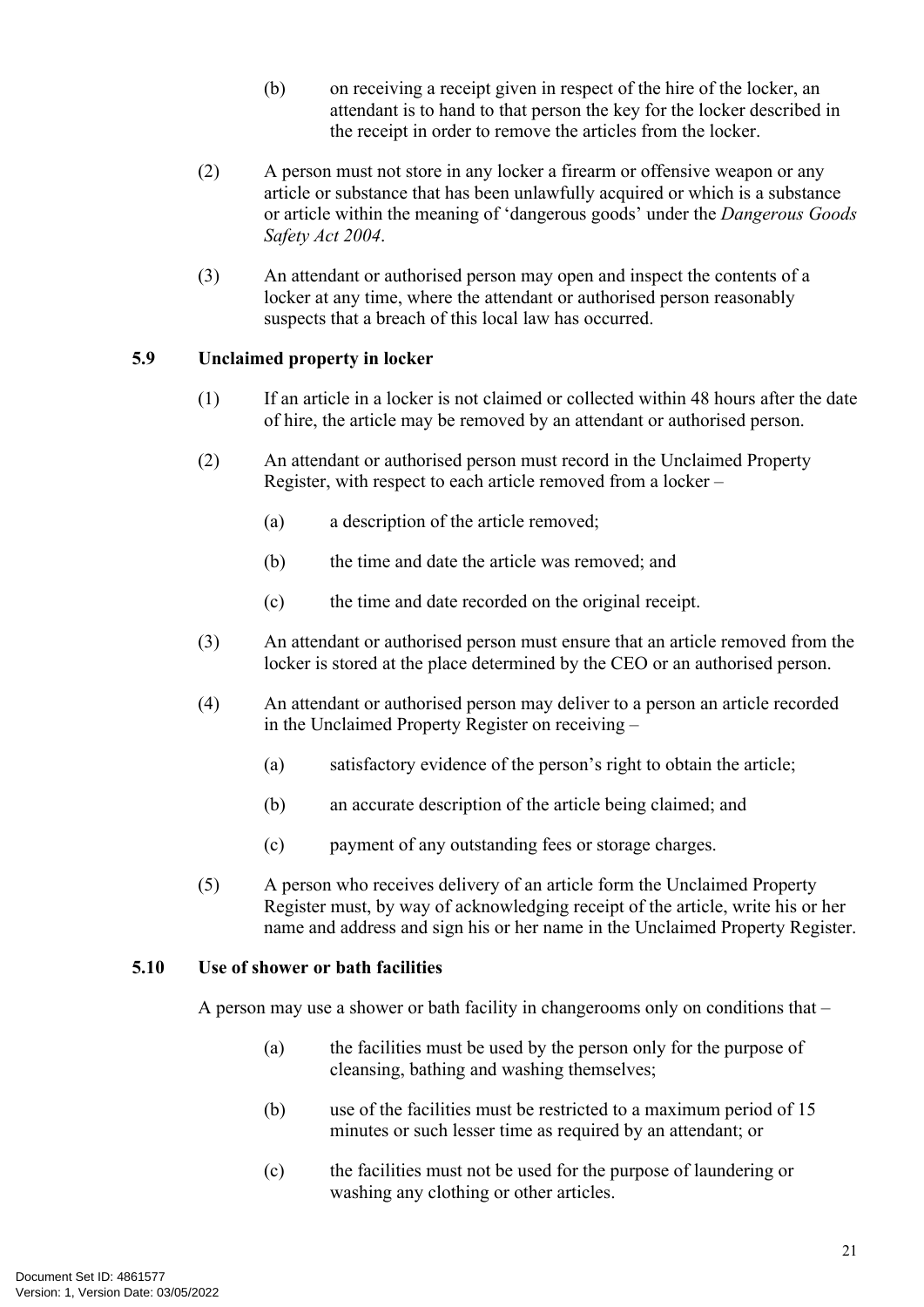- (b) on receiving a receipt given in respect of the hire of the locker, an attendant is to hand to that person the key for the locker described in the receipt in order to remove the articles from the locker.
- (2) A person must not store in any locker a firearm or offensive weapon or any article or substance that has been unlawfully acquired or which is a substance or article within the meaning of 'dangerous goods' under the *Dangerous Goods Safety Act 2004*.
- (3) An attendant or authorised person may open and inspect the contents of a locker at any time, where the attendant or authorised person reasonably suspects that a breach of this local law has occurred.

#### <span id="page-24-0"></span>**5.9 Unclaimed property in locker**

- (1) If an article in a locker is not claimed or collected within 48 hours after the date of hire, the article may be removed by an attendant or authorised person.
- (2) An attendant or authorised person must record in the Unclaimed Property Register, with respect to each article removed from a locker –
	- (a) a description of the article removed;
	- (b) the time and date the article was removed; and
	- (c) the time and date recorded on the original receipt.
- (3) An attendant or authorised person must ensure that an article removed from the locker is stored at the place determined by the CEO or an authorised person.
- (4) An attendant or authorised person may deliver to a person an article recorded in the Unclaimed Property Register on receiving –
	- (a) satisfactory evidence of the person's right to obtain the article;
	- (b) an accurate description of the article being claimed; and
	- (c) payment of any outstanding fees or storage charges.
- (5) A person who receives delivery of an article form the Unclaimed Property Register must, by way of acknowledging receipt of the article, write his or her name and address and sign his or her name in the Unclaimed Property Register.

#### <span id="page-24-1"></span>**5.10 Use of shower or bath facilities**

A person may use a shower or bath facility in changerooms only on conditions that –

- (a) the facilities must be used by the person only for the purpose of cleansing, bathing and washing themselves;
- (b) use of the facilities must be restricted to a maximum period of 15 minutes or such lesser time as required by an attendant; or
- (c) the facilities must not be used for the purpose of laundering or washing any clothing or other articles.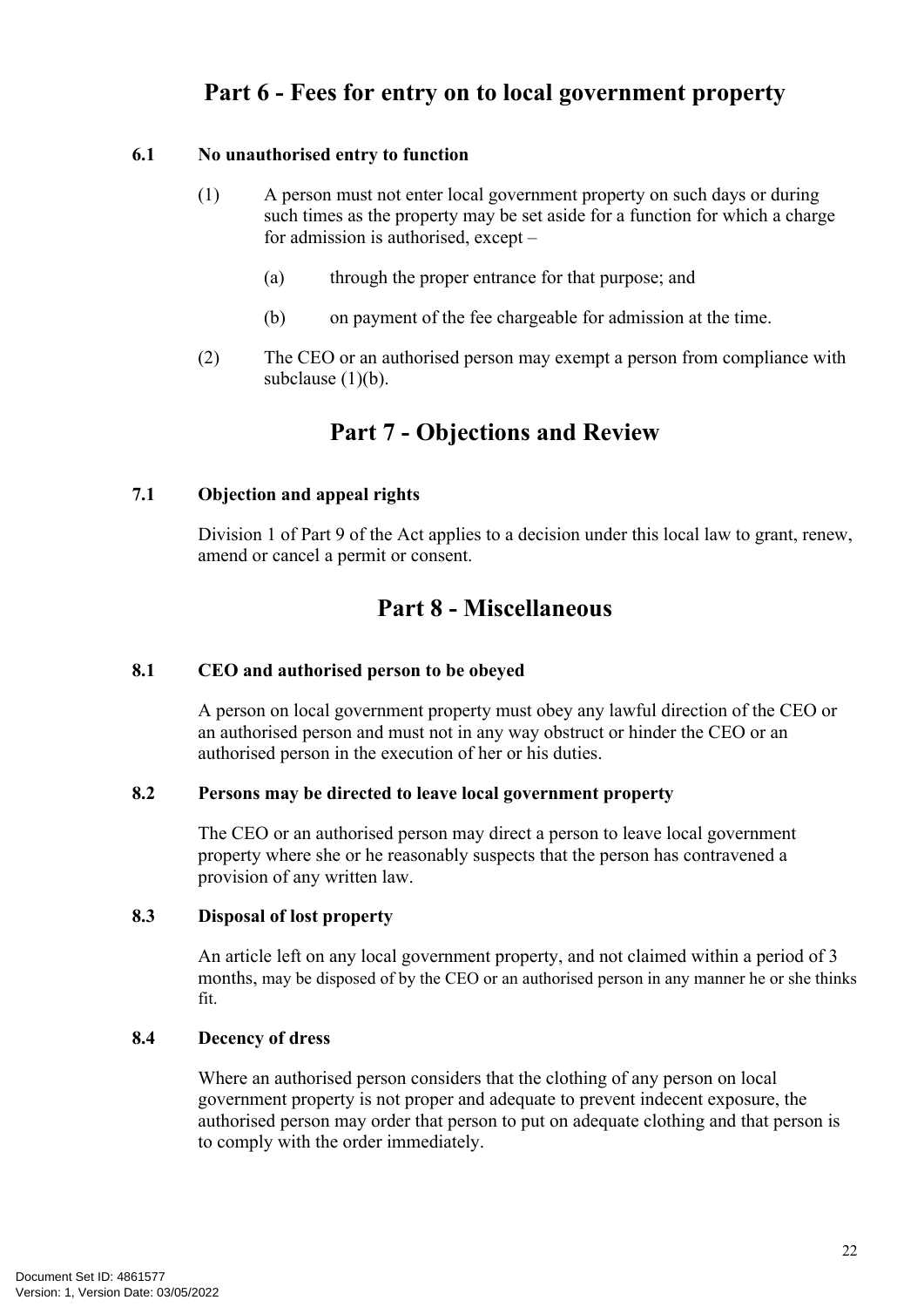# <span id="page-25-0"></span>**Part 6 - Fees for entry on to local government property**

#### <span id="page-25-1"></span>**6.1 No unauthorised entry to function**

- <span id="page-25-9"></span>(1) A person must not enter local government property on such days or during such times as the property may be set aside for a function for which a charge for admission is authorised, except –
	- (a) through the proper entrance for that purpose; and
	- (b) on payment of the fee chargeable for admission at the time.
- (2) The CEO or an authorised person may exempt a person from compliance with subclause  $(1)(b)$ .

### <span id="page-25-2"></span>**Part 7 - Objections and Review**

#### <span id="page-25-3"></span>**7.1 Objection and appeal rights**

Division 1 of Part 9 of the Act applies to a decision under this local law to grant, renew, amend or cancel a permit or consent.

### <span id="page-25-4"></span>**Part 8 - Miscellaneous**

#### <span id="page-25-5"></span>**8.1 CEO and authorised person to be obeyed**

A person on local government property must obey any lawful direction of the CEO or an authorised person and must not in any way obstruct or hinder the CEO or an authorised person in the execution of her or his duties.

#### <span id="page-25-6"></span>**8.2 Persons may be directed to leave local government property**

The CEO or an authorised person may direct a person to leave local government property where she or he reasonably suspects that the person has contravened a provision of any written law.

#### <span id="page-25-7"></span>**8.3 Disposal of lost property**

An article left on any local government property, and not claimed within a period of 3 months, may be disposed of by the CEO or an authorised person in any manner he or she thinks fit.

#### <span id="page-25-8"></span>**8.4 Decency of dress**

Where an authorised person considers that the clothing of any person on local government property is not proper and adequate to prevent indecent exposure, the authorised person may order that person to put on adequate clothing and that person is to comply with the order immediately.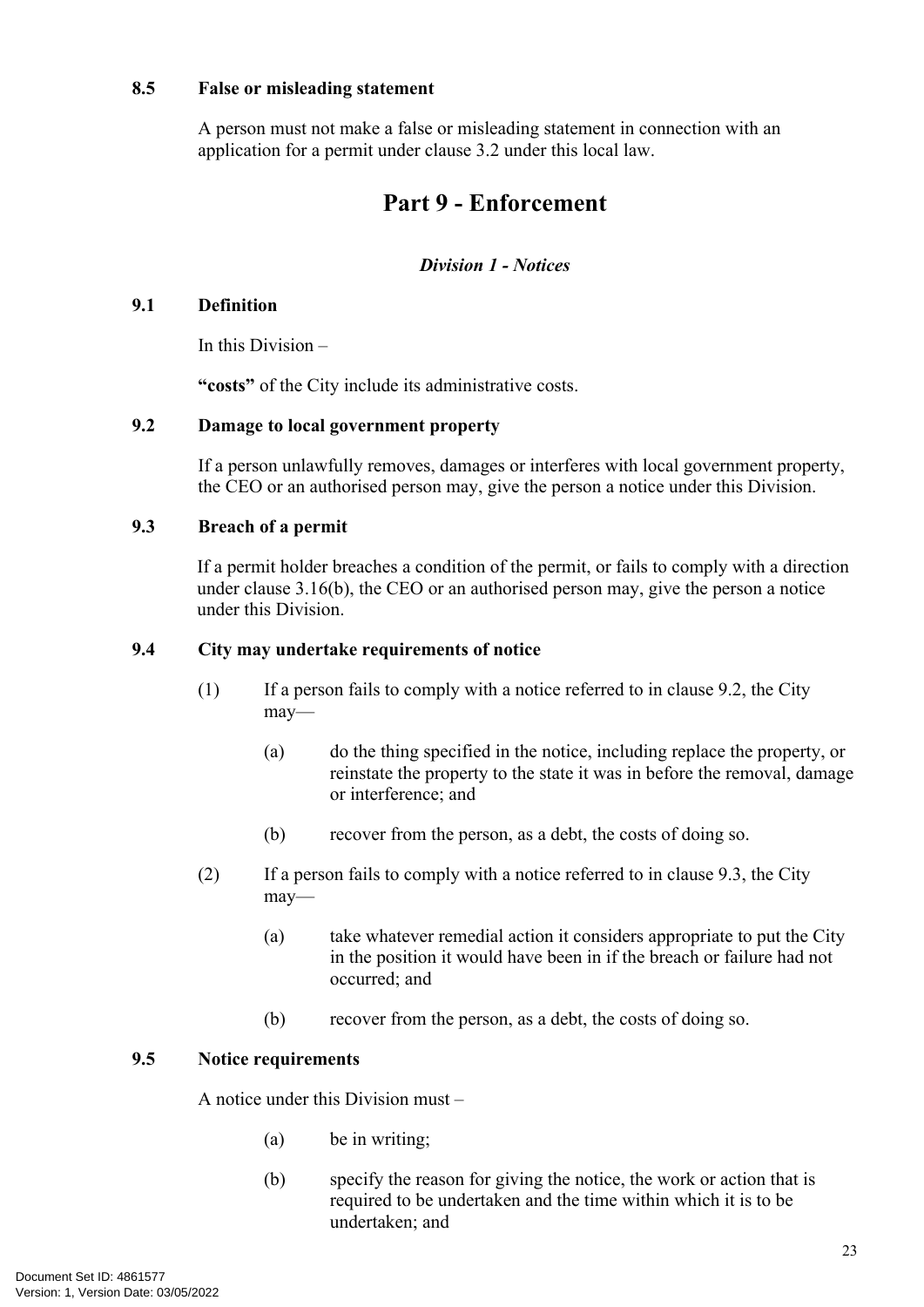#### <span id="page-26-0"></span>**8.5 False or misleading statement**

A person must not make a false or misleading statement in connection with an application for a permit under clause 3.2 under this local law.

# <span id="page-26-1"></span>**Part 9 - Enforcement**

#### *Division 1 - Notices*

#### <span id="page-26-2"></span>**9.1 Definition**

In this Division –

**"costs"** of the City include its administrative costs.

#### <span id="page-26-3"></span>**9.2 Damage to local government property**

If a person unlawfully removes, damages or interferes with local government property, the CEO or an authorised person may, give the person a notice under this Division.

#### <span id="page-26-4"></span>**9.3 Breach of a permit**

If a permit holder breaches a condition of the permit, or fails to comply with a direction under clause [3.16\(b\)](#page-18-4), the CEO or an authorised person may, give the person a notice under this Division.

#### <span id="page-26-5"></span>**9.4 City may undertake requirements of notice**

- (1) If a person fails to comply with a notice referred to in clause 9.2, the City may—
	- (a) do the thing specified in the notice, including replace the property, or reinstate the property to the state it was in before the removal, damage or interference; and
	- (b) recover from the person, as a debt, the costs of doing so.
- (2) If a person fails to comply with a notice referred to in clause 9.3, the City may—
	- (a) take whatever remedial action it considers appropriate to put the City in the position it would have been in if the breach or failure had not occurred; and
	- (b) recover from the person, as a debt, the costs of doing so.

#### <span id="page-26-6"></span>**9.5 Notice requirements**

A notice under this Division must –

- (a) be in writing;
- (b) specify the reason for giving the notice, the work or action that is required to be undertaken and the time within which it is to be undertaken; and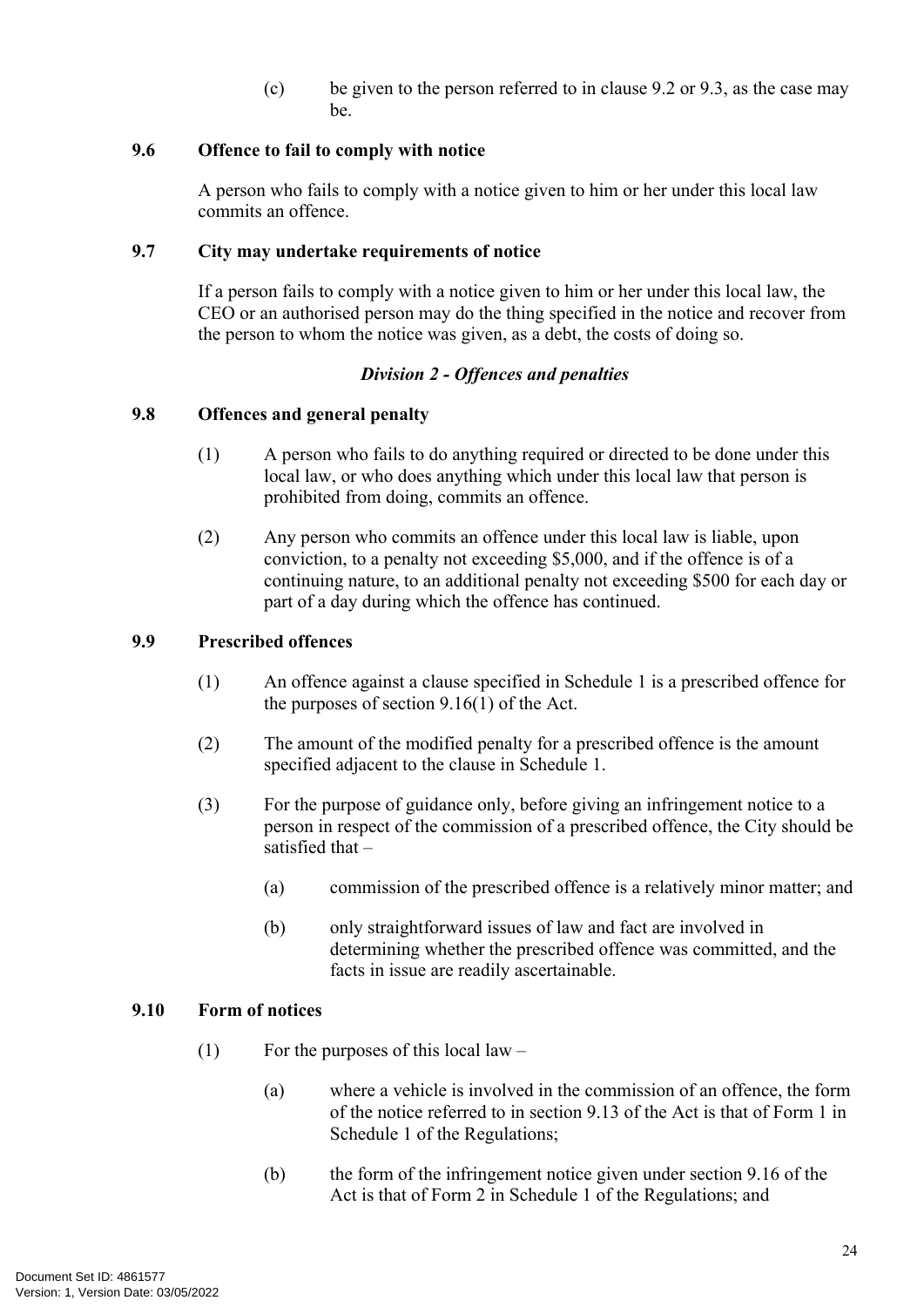(c) be given to the person referred to in clause [9.2](#page-26-3) or [9.3](#page-26-4), as the case may be.

#### <span id="page-27-0"></span>**9.6 Offence to fail to comply with notice**

A person who fails to comply with a notice given to him or her under this local law commits an offence.

#### <span id="page-27-1"></span>**9.7 City may undertake requirements of notice**

If a person fails to comply with a notice given to him or her under this local law, the CEO or an authorised person may do the thing specified in the notice and recover from the person to whom the notice was given, as a debt, the costs of doing so.

#### *Division 2 - Offences and penalties*

#### <span id="page-27-2"></span>**9.8 Offences and general penalty**

- (1) A person who fails to do anything required or directed to be done under this local law, or who does anything which under this local law that person is prohibited from doing, commits an offence.
- (2) Any person who commits an offence under this local law is liable, upon conviction, to a penalty not exceeding \$5,000, and if the offence is of a continuing nature, to an additional penalty not exceeding \$500 for each day or part of a day during which the offence has continued.

#### <span id="page-27-3"></span>**9.9 Prescribed offences**

- (1) An offence against a clause specified in Schedule 1 is a prescribed offence for the purposes of section 9.16(1) of the Act.
- (2) The amount of the modified penalty for a prescribed offence is the amount specified adjacent to the clause in Schedule 1.
- (3) For the purpose of guidance only, before giving an infringement notice to a person in respect of the commission of a prescribed offence, the City should be satisfied that –
	- (a) commission of the prescribed offence is a relatively minor matter; and
	- (b) only straightforward issues of law and fact are involved in determining whether the prescribed offence was committed, and the facts in issue are readily ascertainable.

#### <span id="page-27-4"></span>**9.10 Form of notices**

- (1) For the purposes of this local law
	- (a) where a vehicle is involved in the commission of an offence, the form of the notice referred to in section 9.13 of the Act is that of Form 1 in Schedule 1 of the Regulations;
	- (b) the form of the infringement notice given under section 9.16 of the Act is that of Form 2 in Schedule 1 of the Regulations; and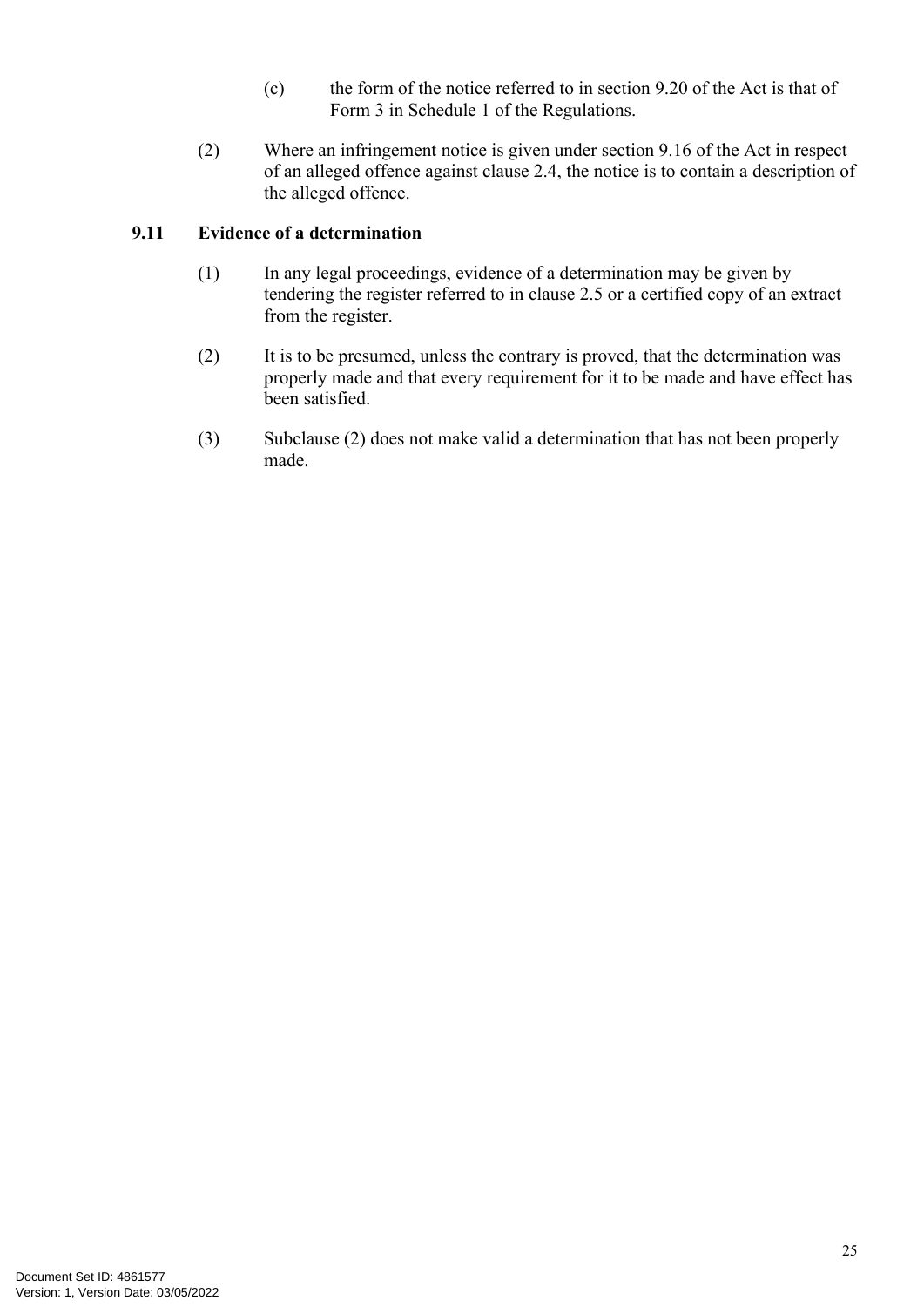- (c) the form of the notice referred to in section 9.20 of the Act is that of Form 3 in Schedule 1 of the Regulations.
- (2) Where an infringement notice is given under section 9.16 of the Act in respect of an alleged offence against clause 2.4, the notice is to contain a description of the alleged offence.

#### <span id="page-28-0"></span>**9.11 Evidence of a determination**

- (1) In any legal proceedings, evidence of a determination may be given by tendering the register referred to in clause 2.5 or a certified copy of an extract from the register.
- (2) It is to be presumed, unless the contrary is proved, that the determination was properly made and that every requirement for it to be made and have effect has been satisfied.
- (3) Subclause (2) does not make valid a determination that has not been properly made.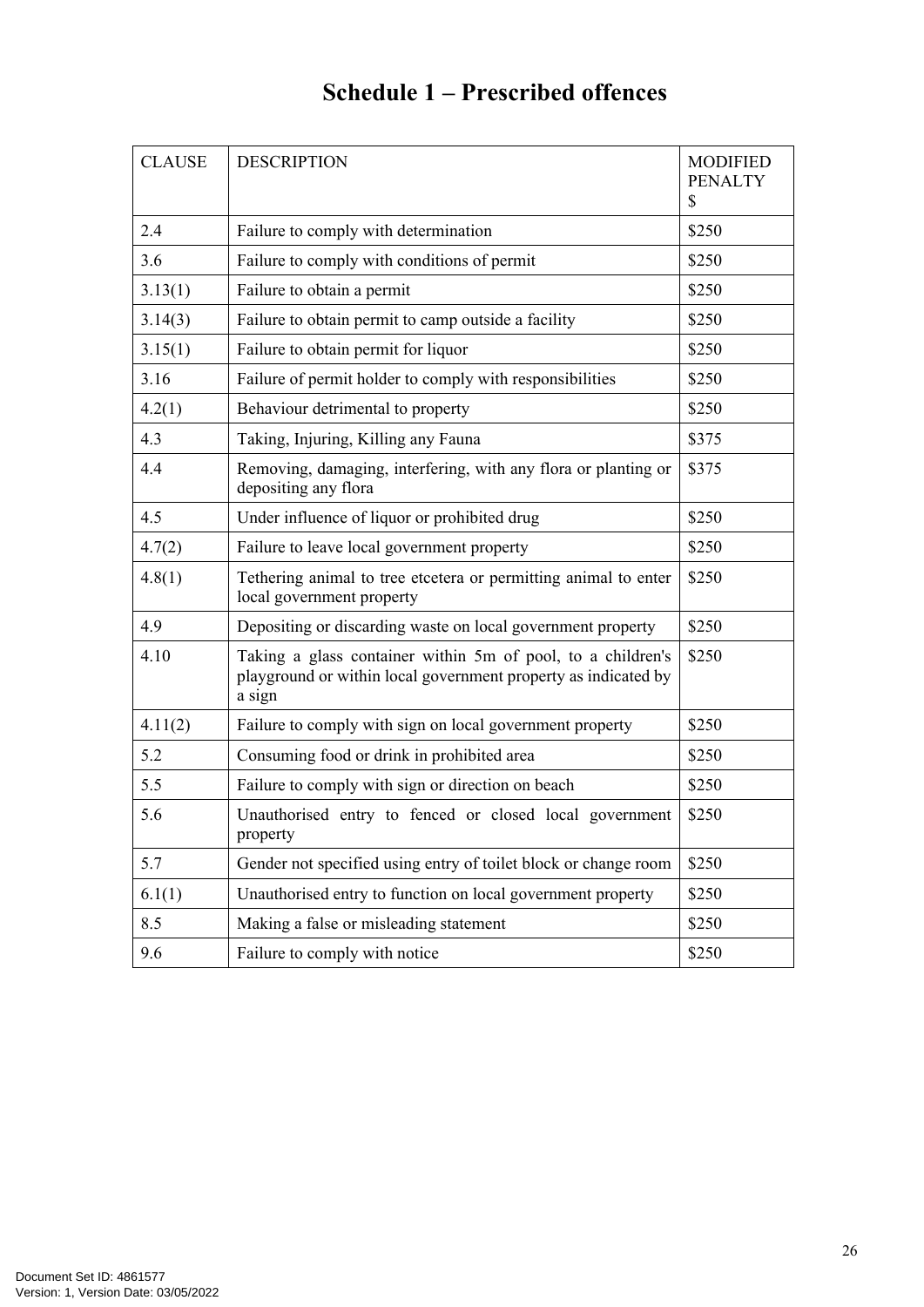# <span id="page-29-0"></span>**Schedule 1 – Prescribed offences**

| <b>CLAUSE</b> | <b>DESCRIPTION</b>                                                                                                                      | <b>MODIFIED</b><br><b>PENALTY</b><br>\$ |
|---------------|-----------------------------------------------------------------------------------------------------------------------------------------|-----------------------------------------|
| 2.4           | Failure to comply with determination                                                                                                    | \$250                                   |
| 3.6           | Failure to comply with conditions of permit                                                                                             | \$250                                   |
| 3.13(1)       | Failure to obtain a permit                                                                                                              | \$250                                   |
| 3.14(3)       | Failure to obtain permit to camp outside a facility                                                                                     | \$250                                   |
| 3.15(1)       | Failure to obtain permit for liquor                                                                                                     | \$250                                   |
| 3.16          | Failure of permit holder to comply with responsibilities                                                                                | \$250                                   |
| 4.2(1)        | Behaviour detrimental to property                                                                                                       | \$250                                   |
| 4.3           | Taking, Injuring, Killing any Fauna                                                                                                     | \$375                                   |
| 4.4           | Removing, damaging, interfering, with any flora or planting or<br>depositing any flora                                                  | \$375                                   |
| 4.5           | Under influence of liquor or prohibited drug                                                                                            | \$250                                   |
| 4.7(2)        | Failure to leave local government property                                                                                              | \$250                                   |
| 4.8(1)        | Tethering animal to tree etcetera or permitting animal to enter<br>local government property                                            | \$250                                   |
| 4.9           | Depositing or discarding waste on local government property                                                                             | \$250                                   |
| 4.10          | Taking a glass container within 5m of pool, to a children's<br>playground or within local government property as indicated by<br>a sign | \$250                                   |
| 4.11(2)       | Failure to comply with sign on local government property                                                                                | \$250                                   |
| 5.2           | Consuming food or drink in prohibited area                                                                                              | \$250                                   |
| 5.5           | Failure to comply with sign or direction on beach                                                                                       | \$250                                   |
| 5.6           | Unauthorised entry to fenced or closed local government<br>property                                                                     | \$250                                   |
| 5.7           | Gender not specified using entry of toilet block or change room                                                                         | \$250                                   |
| 6.1(1)        | Unauthorised entry to function on local government property                                                                             | \$250                                   |
| 8.5           | Making a false or misleading statement                                                                                                  | \$250                                   |
| 9.6           | Failure to comply with notice                                                                                                           | \$250                                   |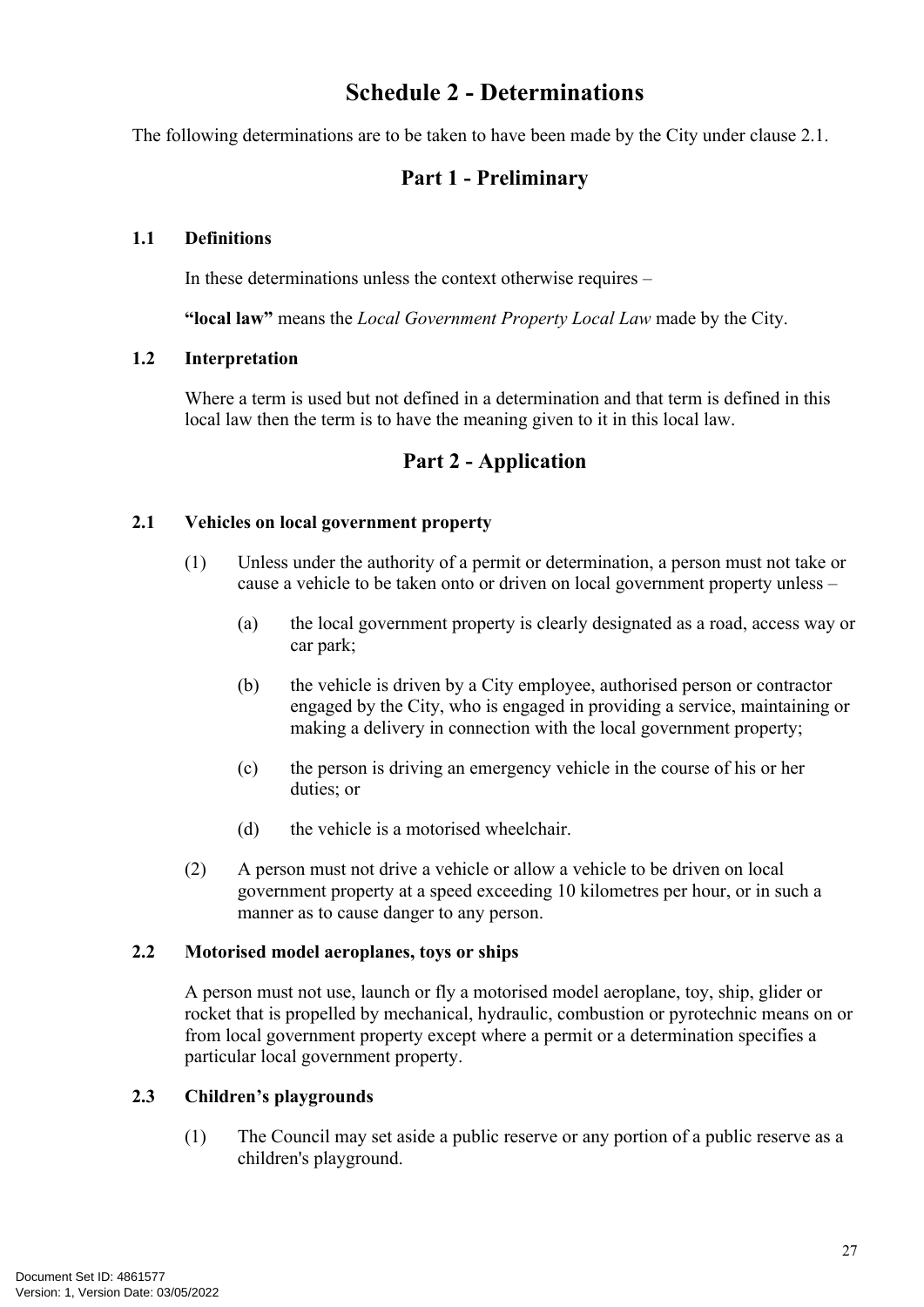# **Schedule 2 - Determinations**

The following determinations are to be taken to have been made by the City under clause [2.1](#page-7-3).

### <span id="page-30-1"></span><span id="page-30-0"></span>**Part 1 - Preliminary**

#### **1.1 Definitions**

In these determinations unless the context otherwise requires –

**"local law"** means the *Local Government Property Local Law* made by the City.

#### **1.2 Interpretation**

Where a term is used but not defined in a determination and that term is defined in this local law then the term is to have the meaning given to it in this local law.

### <span id="page-30-2"></span>**Part 2 - Application**

#### **2.1 Vehicles on local government property**

- (1) Unless under the authority of a permit or determination, a person must not take or cause a vehicle to be taken onto or driven on local government property unless –
	- (a) the local government property is clearly designated as a road, access way or car park;
	- (b) the vehicle is driven by a City employee, authorised person or contractor engaged by the City, who is engaged in providing a service, maintaining or making a delivery in connection with the local government property;
	- (c) the person is driving an emergency vehicle in the course of his or her duties; or
	- (d) the vehicle is a motorised wheelchair.
- (2) A person must not drive a vehicle or allow a vehicle to be driven on local government property at a speed exceeding 10 kilometres per hour, or in such a manner as to cause danger to any person.

#### **2.2 Motorised model aeroplanes, toys or ships**

A person must not use, launch or fly a motorised model aeroplane, toy, ship, glider or rocket that is propelled by mechanical, hydraulic, combustion or pyrotechnic means on or from local government property except where a permit or a determination specifies a particular local government property.

#### **2.3 Children's playgrounds**

(1) The Council may set aside a public reserve or any portion of a public reserve as a children's playground.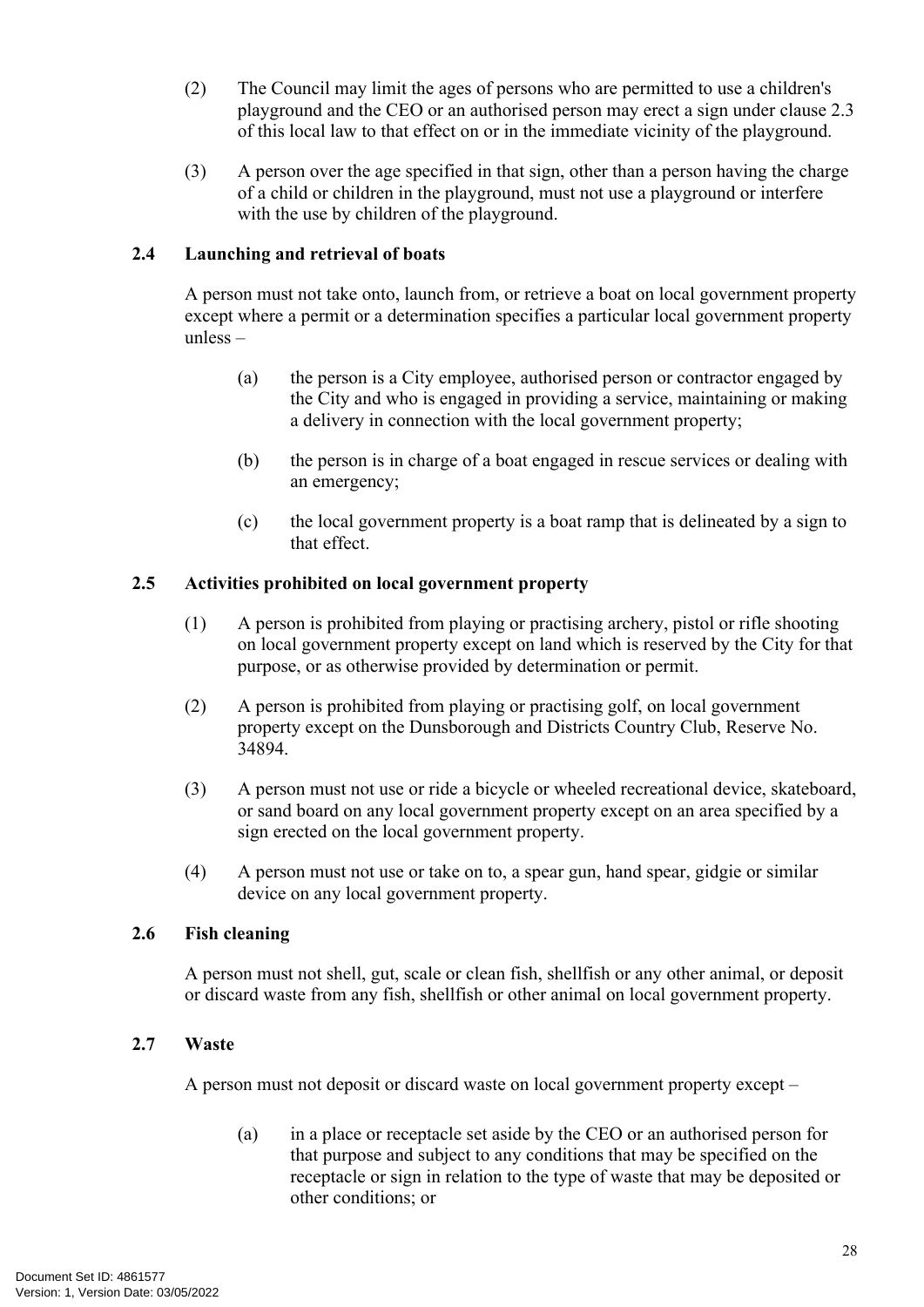- (2) The Council may limit the ages of persons who are permitted to use a children's playground and the CEO or an authorised person may erect a sign under clause [2.3](#page-9-0)  of this local law to that effect on or in the immediate vicinity of the playground.
- (3) A person over the age specified in that sign, other than a person having the charge of a child or children in the playground, must not use a playground or interfere with the use by children of the playground.

#### **2.4 Launching and retrieval of boats**

A person must not take onto, launch from, or retrieve a boat on local government property except where a permit or a determination specifies a particular local government property unless –

- (a) the person is a City employee, authorised person or contractor engaged by the City and who is engaged in providing a service, maintaining or making a delivery in connection with the local government property;
- (b) the person is in charge of a boat engaged in rescue services or dealing with an emergency;
- (c) the local government property is a boat ramp that is delineated by a sign to that effect.

#### **2.5 Activities prohibited on local government property**

- (1) A person is prohibited from playing or practising archery, pistol or rifle shooting on local government property except on land which is reserved by the City for that purpose, or as otherwise provided by determination or permit.
- (2) A person is prohibited from playing or practising golf, on local government property except on the Dunsborough and Districts Country Club, Reserve No. 34894.
- (3) A person must not use or ride a bicycle or wheeled recreational device, skateboard, or sand board on any local government property except on an area specified by a sign erected on the local government property.
- (4) A person must not use or take on to, a spear gun, hand spear, gidgie or similar device on any local government property.

#### **2.6 Fish cleaning**

A person must not shell, gut, scale or clean fish, shellfish or any other animal, or deposit or discard waste from any fish, shellfish or other animal on local government property.

#### **2.7 Waste**

A person must not deposit or discard waste on local government property except –

(a) in a place or receptacle set aside by the CEO or an authorised person for that purpose and subject to any conditions that may be specified on the receptacle or sign in relation to the type of waste that may be deposited or other conditions; or